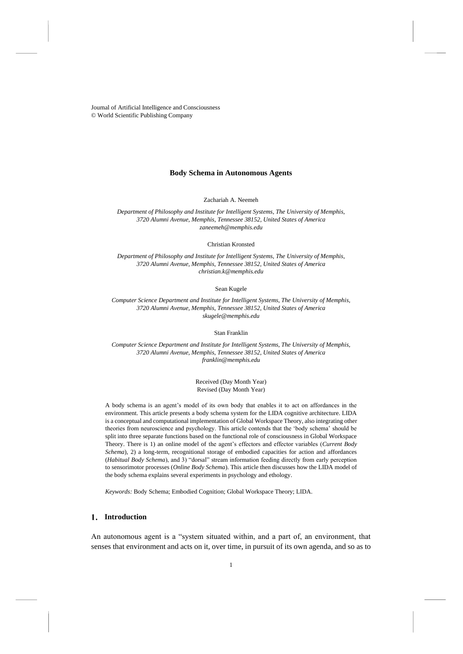Journal of Artificial Intelligence and Consciousness © World Scientific Publishing Company

# **Body Schema in Autonomous Agents**

Zachariah A. Neemeh

*Department of Philosophy and Institute for Intelligent Systems, The University of Memphis, 3720 Alumni Avenue, Memphis, Tennessee 38152, United States of America zaneemeh@memphis.edu*

Christian Kronsted

*Department of Philosophy and Institute for Intelligent Systems, The University of Memphis, 3720 Alumni Avenue, Memphis, Tennessee 38152, United States of America [christian.k@memphis.edu](mailto:christian.k@memphis.edu)*

Sean Kugele

*Computer Science Department and Institute for Intelligent Systems, The University of Memphis, 3720 Alumni Avenue, Memphis, Tennessee 38152, United States of America skugele@memphis.edu*

Stan Franklin

*Computer Science Department and Institute for Intelligent Systems, The University of Memphis, 3720 Alumni Avenue, Memphis, Tennessee 38152, United States of America franklin@memphis.edu*

> Received (Day Month Year) Revised (Day Month Year)

A body schema is an agent's model of its own body that enables it to act on affordances in the environment. This article presents a body schema system for the LIDA cognitive architecture. LIDA is a conceptual and computational implementation of Global Workspace Theory, also integrating other theories from neuroscience and psychology. This article contends that the 'body schema' should be split into three separate functions based on the functional role of consciousness in Global Workspace Theory. There is 1) an online model of the agent's effectors and effector variables (*Current Body Schema*), 2) a long-term, recognitional storage of embodied capacities for action and affordances (*Habitual Body Schema*), and 3) "dorsal" stream information feeding directly from early perception to sensorimotor processes (*Online Body Schema*). This article then discusses how the LIDA model of the body schema explains several experiments in psychology and ethology.

*Keywords:* Body Schema; Embodied Cognition; Global Workspace Theory; LIDA.

# **Introduction**

An autonomous agent is a "system situated within, and a part of, an environment, that senses that environment and acts on it, over time, in pursuit of its own agenda, and so as to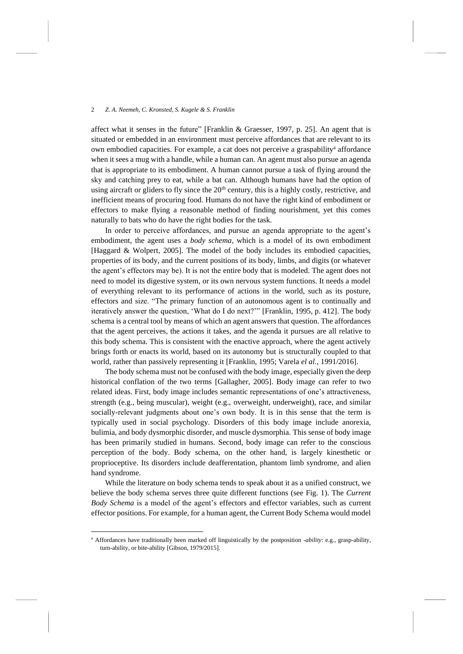affect what it senses in the future" [Franklin & Graesser, 1997, p. 25]. An agent that is situated or embedded in an environment must perceive affordances that are relevant to its own embodied capacities. For example, a cat does not perceive a graspability<sup>a</sup> affordance when it sees a mug with a handle, while a human can. An agent must also pursue an agenda that is appropriate to its embodiment. A human cannot pursue a task of flying around the sky and catching prey to eat, while a bat can. Although humans have had the option of using aircraft or gliders to fly since the 20<sup>th</sup> century, this is a highly costly, restrictive, and inefficient means of procuring food. Humans do not have the right kind of embodiment or effectors to make flying a reasonable method of finding nourishment, yet this comes naturally to bats who do have the right bodies for the task.

In order to perceive affordances, and pursue an agenda appropriate to the agent's embodiment, the agent uses a *body schema*, which is a model of its own embodiment [Haggard & Wolpert, 2005]. The model of the body includes its embodied capacities, properties of its body, and the current positions of its body, limbs, and digits (or whatever the agent's effectors may be). It is not the entire body that is modeled. The agent does not need to model its digestive system, or its own nervous system functions. It needs a model of everything relevant to its performance of actions in the world, such as its posture, effectors and size. "The primary function of an autonomous agent is to continually and iteratively answer the question, 'What do I do next?'" [Franklin, 1995, p. 412]. The body schema is a central tool by means of which an agent answers that question. The affordances that the agent perceives, the actions it takes, and the agenda it pursues are all relative to this body schema. This is consistent with the enactive approach, where the agent actively brings forth or enacts its world, based on its autonomy but is structurally coupled to that world, rather than passively representing it [Franklin, 1995; Varela *el al.*, 1991/2016].

The body schema must not be confused with the body image, especially given the deep historical conflation of the two terms [Gallagher, 2005]. Body image can refer to two related ideas. First, body image includes semantic representations of one's attractiveness, strength (e.g., being muscular), weight (e.g., overweight, underweight), race, and similar socially-relevant judgments about one's own body. It is in this sense that the term is typically used in social psychology. Disorders of this body image include anorexia, bulimia, and body dysmorphic disorder, and muscle dysmorphia. This sense of body image has been primarily studied in humans. Second, body image can refer to the conscious perception of the body. Body schema, on the other hand, is largely kinesthetic or proprioceptive. Its disorders include deafferentation, phantom limb syndrome, and alien hand syndrome.

While the literature on body schema tends to speak about it as a unified construct, we believe the body schema serves three quite different functions (see Fig. 1). The *Current Body Schema* is a model of the agent's effectors and effector variables, such as current effector positions. For example, for a human agent, the Current Body Schema would model

<sup>a</sup> Affordances have traditionally been marked off linguistically by the postposition *-ability*: e.g., grasp-ability, turn-ability, or bite-ability [Gibson, 1979/2015].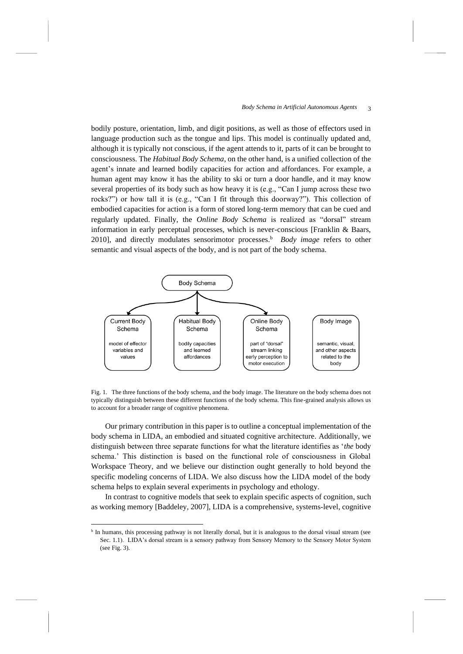bodily posture, orientation, limb, and digit positions, as well as those of effectors used in language production such as the tongue and lips. This model is continually updated and, although it is typically not conscious, if the agent attends to it, parts of it can be brought to consciousness. The *Habitual Body Schema*, on the other hand, is a unified collection of the agent's innate and learned bodily capacities for action and affordances. For example, a human agent may know it has the ability to ski or turn a door handle, and it may know several properties of its body such as how heavy it is (e.g., "Can I jump across these two rocks?") or how tall it is (e.g., "Can I fit through this doorway?"). This collection of embodied capacities for action is a form of stored long-term memory that can be cued and regularly updated. Finally, the *Online Body Schema* is realized as "dorsal" stream information in early perceptual processes, which is never-conscious [Franklin & Baars, 2010], and directly modulates sensorimotor processes.<sup>b</sup> Body image refers to other semantic and visual aspects of the body, and is not part of the body schema.



Fig. 1. The three functions of the body schema, and the body image. The literature on the body schema does not typically distinguish between these different functions of the body schema. This fine-grained analysis allows us to account for a broader range of cognitive phenomena.

Our primary contribution in this paper is to outline a conceptual implementation of the body schema in LIDA, an embodied and situated cognitive architecture. Additionally, we distinguish between three separate functions for what the literature identifies as '*the* body schema.' This distinction is based on the functional role of consciousness in Global Workspace Theory, and we believe our distinction ought generally to hold beyond the specific modeling concerns of LIDA. We also discuss how the LIDA model of the body schema helps to explain several experiments in psychology and ethology.

In contrast to cognitive models that seek to explain specific aspects of cognition, such as working memory [Baddeley, 2007], LIDA is a comprehensive, systems-level, cognitive

<sup>&</sup>lt;sup>b</sup> In humans, this processing pathway is not literally dorsal, but it is analogous to the dorsal visual stream (see Sec. [1.1\)](#page-3-0). LIDA's dorsal stream is a sensory pathway from Sensory Memory to the Sensory Motor System (see Fig. 3).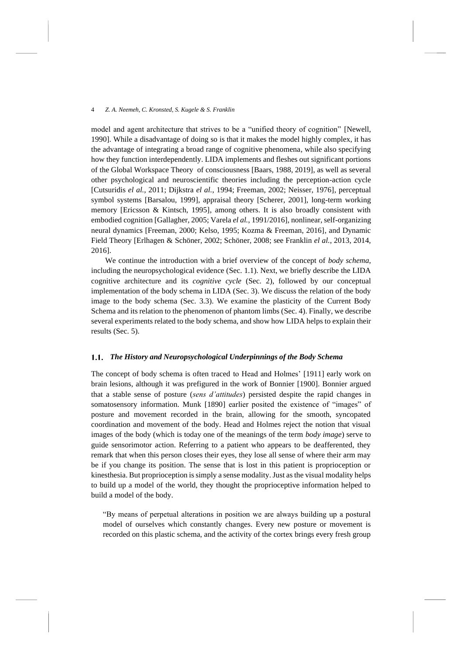model and agent architecture that strives to be a "unified theory of cognition" [Newell, 1990]. While a disadvantage of doing so is that it makes the model highly complex, it has the advantage of integrating a broad range of cognitive phenomena, while also specifying how they function interdependently. LIDA implements and fleshes out significant portions of the Global Workspace Theory of consciousness [Baars, 1988, 2019], as well as several other psychological and neuroscientific theories including the perception-action cycle [Cutsuridis *el al.*, 2011; Dijkstra *el al.*, 1994; Freeman, 2002; Neisser, 1976], perceptual symbol systems [Barsalou, 1999], appraisal theory [Scherer, 2001], long-term working memory [Ericsson & Kintsch, 1995], among others. It is also broadly consistent with embodied cognition [Gallagher, 2005; Varela *el al.*, 1991/2016], nonlinear, self-organizing neural dynamics [Freeman, 2000; Kelso, 1995; Kozma & Freeman, 2016], and Dynamic Field Theory [Erlhagen & Schöner, 2002; Schöner, 2008; see Franklin *el al.*, 2013, 2014, 2016].

We continue the introduction with a brief overview of the concept of *body schema*, including the neuropsychological evidence (Sec. 1.1). Next, we briefly describe the LIDA cognitive architecture and its *cognitive cycle* (Sec. [2\)](#page-7-0), followed by our conceptual implementation of the body schema in LIDA (Sec. [3\)](#page-11-0). We discuss the relation of the body image to the body schema (Sec. [3.3\)](#page-20-0). We examine the plasticity of the Current Body Schema and its relation to the phenomenon of phantom limbs (Sec. [4\)](#page-21-0). Finally, we describe several experiments related to the body schema, and show how LIDA helps to explain their results (Sec. [5\)](#page-25-0).

## <span id="page-3-0"></span>*The History and Neuropsychological Underpinnings of the Body Schema*

The concept of body schema is often traced to Head and Holmes' [1911] early work on brain lesions, although it was prefigured in the work of Bonnier [1900]. Bonnier argued that a stable sense of posture (*sens d'attitudes*) persisted despite the rapid changes in somatosensory information. Munk [1890] earlier posited the existence of "images" of posture and movement recorded in the brain, allowing for the smooth, syncopated coordination and movement of the body. Head and Holmes reject the notion that visual images of the body (which is today one of the meanings of the term *body image*) serve to guide sensorimotor action. Referring to a patient who appears to be deafferented, they remark that when this person closes their eyes, they lose all sense of where their arm may be if you change its position. The sense that is lost in this patient is proprioception or kinesthesia. But proprioception is simply a sense modality. Just as the visual modality helps to build up a model of the world, they thought the proprioceptive information helped to build a model of the body.

"By means of perpetual alterations in position we are always building up a postural model of ourselves which constantly changes. Every new posture or movement is recorded on this plastic schema, and the activity of the cortex brings every fresh group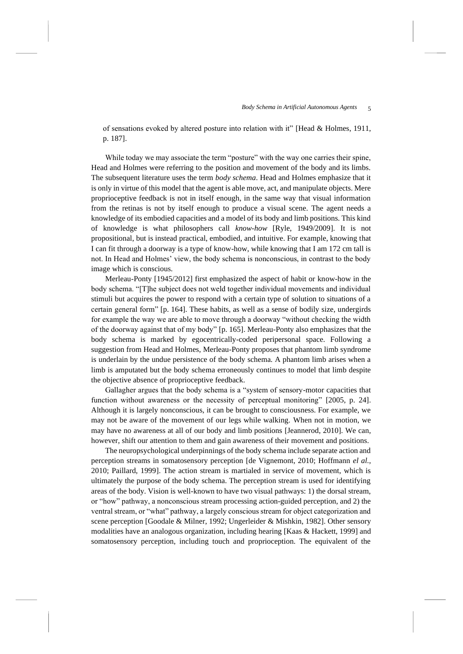of sensations evoked by altered posture into relation with it" [Head & Holmes, 1911, p. 187].

While today we may associate the term "posture" with the way one carries their spine, Head and Holmes were referring to the position and movement of the body and its limbs. The subsequent literature uses the term *body schema*. Head and Holmes emphasize that it is only in virtue of this model that the agent is able move, act, and manipulate objects. Mere proprioceptive feedback is not in itself enough, in the same way that visual information from the retinas is not by itself enough to produce a visual scene. The agent needs a knowledge of its embodied capacities and a model of its body and limb positions. This kind of knowledge is what philosophers call *know-how* [Ryle, 1949/2009]. It is not propositional, but is instead practical, embodied, and intuitive. For example, knowing that I can fit through a doorway is a type of know-how, while knowing that I am 172 cm tall is not. In Head and Holmes' view, the body schema is nonconscious, in contrast to the body image which is conscious.

Merleau-Ponty [1945/2012] first emphasized the aspect of habit or know-how in the body schema. "[T]he subject does not weld together individual movements and individual stimuli but acquires the power to respond with a certain type of solution to situations of a certain general form" [p. 164]. These habits, as well as a sense of bodily size, undergirds for example the way we are able to move through a doorway "without checking the width of the doorway against that of my body" [p. 165]. Merleau-Ponty also emphasizes that the body schema is marked by egocentrically-coded peripersonal space. Following a suggestion from Head and Holmes, Merleau-Ponty proposes that phantom limb syndrome is underlain by the undue persistence of the body schema. A phantom limb arises when a limb is amputated but the body schema erroneously continues to model that limb despite the objective absence of proprioceptive feedback.

Gallagher argues that the body schema is a "system of sensory-motor capacities that function without awareness or the necessity of perceptual monitoring" [2005, p. 24]. Although it is largely nonconscious, it can be brought to consciousness. For example, we may not be aware of the movement of our legs while walking. When not in motion, we may have no awareness at all of our body and limb positions [Jeannerod, 2010]. We can, however, shift our attention to them and gain awareness of their movement and positions.

The neuropsychological underpinnings of the body schema include separate action and perception streams in somatosensory perception [de Vignemont, 2010; Hoffmann *el al.*, 2010; Paillard, 1999]. The action stream is martialed in service of movement, which is ultimately the purpose of the body schema. The perception stream is used for identifying areas of the body. Vision is well-known to have two visual pathways: 1) the dorsal stream, or "how" pathway, a nonconscious stream processing action-guided perception, and 2) the ventral stream, or "what" pathway, a largely conscious stream for object categorization and scene perception [Goodale & Milner, 1992; Ungerleider & Mishkin, 1982]. Other sensory modalities have an analogous organization, including hearing [Kaas & Hackett, 1999] and somatosensory perception, including touch and proprioception. The equivalent of the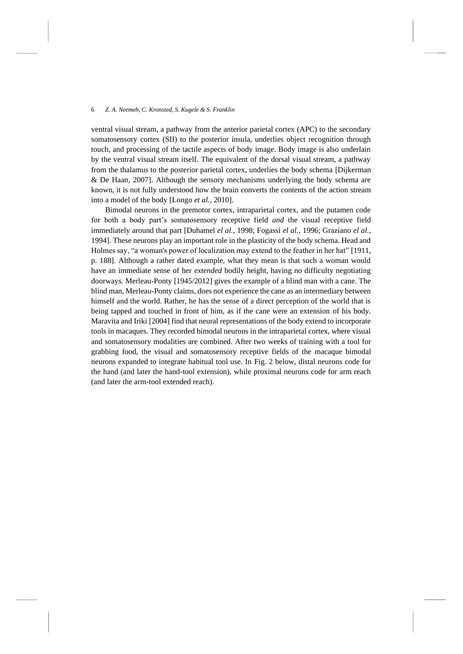ventral visual stream, a pathway from the anterior parietal cortex (APC) to the secondary somatosensory cortex (SII) to the posterior insula, underlies object recognition through touch, and processing of the tactile aspects of body image. Body image is also underlain by the ventral visual stream itself. The equivalent of the dorsal visual stream, a pathway from the thalamus to the posterior parietal cortex, underlies the body schema [Dijkerman & De Haan, 2007]. Although the sensory mechanisms underlying the body schema are known, it is not fully understood how the brain converts the contents of the action stream into a model of the body [Longo *et al.*, 2010].

Bimodal neurons in the premotor cortex, intraparietal cortex, and the putamen code for both a body part's somatosensory receptive field *and* the visual receptive field immediately around that part [Duhamel *el al.*, 1998; Fogassi *el al.*, 1996; Graziano *el al.*, 1994]. These neurons play an important role in the plasticity of the body schema. Head and Holmes say, "a woman's power of localization may extend to the feather in her hat" [1911, p. 188]. Although a rather dated example, what they mean is that such a woman would have an immediate sense of her *extended* bodily height, having no difficulty negotiating doorways. Merleau-Ponty [1945/2012] gives the example of a blind man with a cane. The blind man, Merleau-Ponty claims, does not experience the cane as an intermediary between himself and the world. Rather, he has the sense of a direct perception of the world that is being tapped and touched in front of him, as if the cane were an extension of his body. Maravita and Iriki [2004] find that neural representations of the body extend to incorporate tools in macaques. They recorded bimodal neurons in the intraparietal cortex, where visual and somatosensory modalities are combined. After two weeks of training with a tool for grabbing food, the visual and somatosensory receptive fields of the macaque bimodal neurons expanded to integrate habitual tool use. In Fig. 2 below, distal neurons code for the hand (and later the hand-tool extension), while proximal neurons code for arm reach (and later the arm-tool extended reach).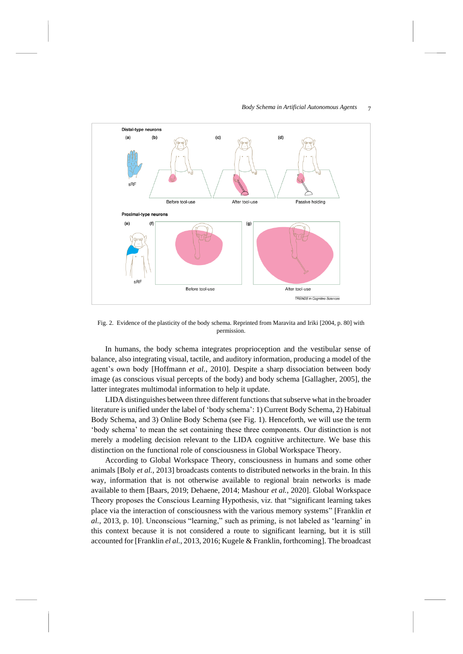

### *Body Schema in Artificial Autonomous Agents*  7

Fig. 2. Evidence of the plasticity of the body schema. Reprinted from Maravita and Iriki [2004, p. 80] with permission.

In humans, the body schema integrates proprioception and the vestibular sense of balance, also integrating visual, tactile, and auditory information, producing a model of the agent's own body [Hoffmann *et al.*, 2010]. Despite a sharp dissociation between body image (as conscious visual percepts of the body) and body schema [Gallagher, 2005], the latter integrates multimodal information to help it update.

LIDA distinguishes between three different functions that subserve what in the broader literature is unified under the label of 'body schema': 1) Current Body Schema, 2) Habitual Body Schema, and 3) Online Body Schema (see Fig. 1). Henceforth, we will use the term 'body schema' to mean the set containing these three components. Our distinction is not merely a modeling decision relevant to the LIDA cognitive architecture. We base this distinction on the functional role of consciousness in Global Workspace Theory.

According to Global Workspace Theory, consciousness in humans and some other animals [Boly *et al.*, 2013] broadcasts contents to distributed networks in the brain. In this way, information that is not otherwise available to regional brain networks is made available to them [Baars, 2019; Dehaene, 2014; Mashour *et al.*, 2020]. Global Workspace Theory proposes the Conscious Learning Hypothesis, viz. that "significant learning takes place via the interaction of consciousness with the various memory systems" [Franklin *et al.*, 2013, p. 10]. Unconscious "learning," such as priming, is not labeled as 'learning' in this context because it is not considered a route to significant learning, but it is still accounted for [Franklin *el al.*, 2013, 2016; Kugele & Franklin, forthcoming]. The broadcast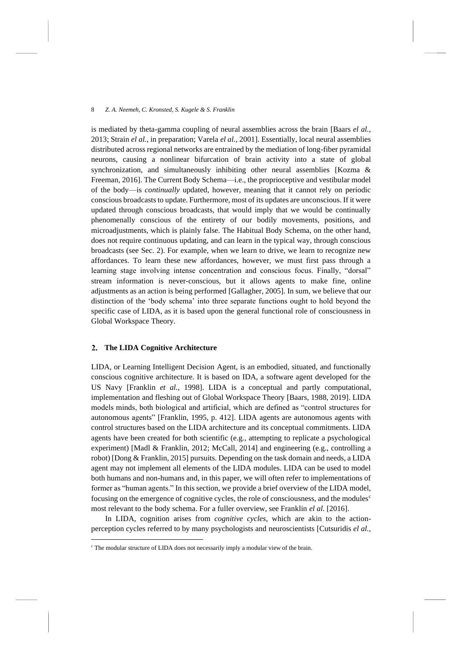is mediated by theta-gamma coupling of neural assemblies across the brain [Baars *el al.*, 2013; Strain *el al.*, in preparation; Varela *el al.*, 2001]. Essentially, local neural assemblies distributed across regional networks are entrained by the mediation of long-fiber pyramidal neurons, causing a nonlinear bifurcation of brain activity into a state of global synchronization, and simultaneously inhibiting other neural assemblies [Kozma & Freeman, 2016]. The Current Body Schema—i.e., the proprioceptive and vestibular model of the body—is *continually* updated, however, meaning that it cannot rely on periodic conscious broadcasts to update. Furthermore, most of its updates are unconscious. If it were updated through conscious broadcasts, that would imply that we would be continually phenomenally conscious of the entirety of our bodily movements, positions, and microadjustments, which is plainly false. The Habitual Body Schema, on the other hand, does not require continuous updating, and can learn in the typical way, through conscious broadcasts (see Sec. [2\)](#page-7-0). For example, when we learn to drive, we learn to recognize new affordances. To learn these new affordances, however, we must first pass through a learning stage involving intense concentration and conscious focus. Finally, "dorsal" stream information is never-conscious, but it allows agents to make fine, online adjustments as an action is being performed [Gallagher, 2005]. In sum, we believe that our distinction of the 'body schema' into three separate functions ought to hold beyond the specific case of LIDA, as it is based upon the general functional role of consciousness in Global Workspace Theory.

### <span id="page-7-0"></span> $2.$ **The LIDA Cognitive Architecture**

LIDA, or Learning Intelligent Decision Agent, is an embodied, situated, and functionally conscious cognitive architecture. It is based on IDA, a software agent developed for the US Navy [Franklin *et al.*, 1998]. LIDA is a conceptual and partly computational, implementation and fleshing out of Global Workspace Theory [Baars, 1988, 2019]. LIDA models minds, both biological and artificial, which are defined as "control structures for autonomous agents" [Franklin, 1995, p. 412]. LIDA agents are autonomous agents with control structures based on the LIDA architecture and its conceptual commitments. LIDA agents have been created for both scientific (e.g., attempting to replicate a psychological experiment) [Madl & Franklin, 2012; McCall, 2014] and engineering (e.g., controlling a robot) [Dong & Franklin, 2015] pursuits. Depending on the task domain and needs, a LIDA agent may not implement all elements of the LIDA modules. LIDA can be used to model both humans and non-humans and, in this paper, we will often refer to implementations of former as "human agents." In this section, we provide a brief overview of the LIDA model, focusing on the emergence of cognitive cycles, the role of consciousness, and the modules<sup>c</sup> most relevant to the body schema. For a fuller overview, see Franklin *el al.* [2016].

In LIDA, cognition arises from *cognitive cycles*, which are akin to the actionperception cycles referred to by many psychologists and neuroscientists [Cutsuridis *el al.*,

<sup>&</sup>lt;sup>c</sup> The modular structure of LIDA does not necessarily imply a modular view of the brain.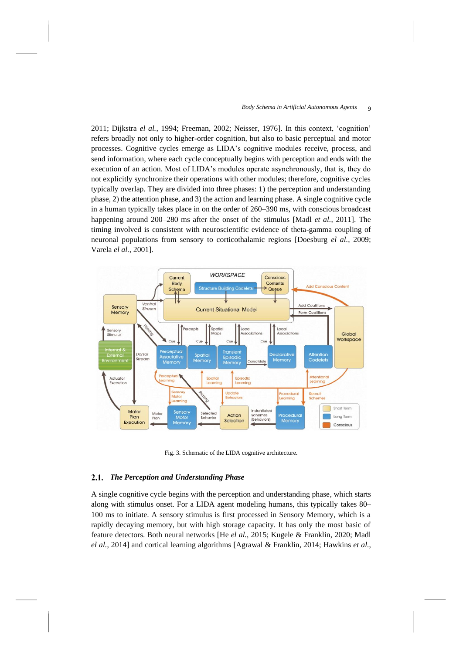2011; Dijkstra *el al.*, 1994; Freeman, 2002; Neisser, 1976]. In this context, 'cognition' refers broadly not only to higher-order cognition, but also to basic perceptual and motor processes. Cognitive cycles emerge as LIDA's cognitive modules receive, process, and send information, where each cycle conceptually begins with perception and ends with the execution of an action. Most of LIDA's modules operate asynchronously, that is, they do not explicitly synchronize their operations with other modules; therefore, cognitive cycles typically overlap. They are divided into three phases: 1) the perception and understanding phase, 2) the attention phase, and 3) the action and learning phase. A single cognitive cycle in a human typically takes place in on the order of 260–390 ms, with conscious broadcast happening around 200–280 ms after the onset of the stimulus [Madl *et al.*, 2011]. The timing involved is consistent with neuroscientific evidence of theta-gamma coupling of neuronal populations from sensory to corticothalamic regions [Doesburg *el al.*, 2009; Varela *el al.*, 2001].



Fig. 3. Schematic of the LIDA cognitive architecture.

# *The Perception and Understanding Phase*

A single cognitive cycle begins with the perception and understanding phase, which starts along with stimulus onset. For a LIDA agent modeling humans, this typically takes 80– 100 ms to initiate. A sensory stimulus is first processed in Sensory Memory, which is a rapidly decaying memory, but with high storage capacity. It has only the most basic of feature detectors. Both neural networks [He *el al.*, 2015; Kugele & Franklin, 2020; Madl *el al.*, 2014] and cortical learning algorithms [Agrawal & Franklin, 2014; Hawkins *et al.*,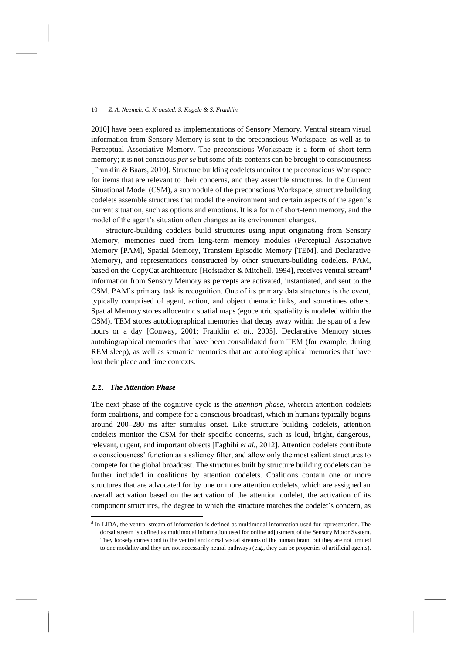2010] have been explored as implementations of Sensory Memory. Ventral stream visual information from Sensory Memory is sent to the preconscious Workspace, as well as to Perceptual Associative Memory. The preconscious Workspace is a form of short-term memory; it is not conscious *per se* but some of its contents can be brought to consciousness [Franklin & Baars, 2010]. Structure building codelets monitor the preconscious Workspace for items that are relevant to their concerns, and they assemble structures. In the Current Situational Model (CSM), a submodule of the preconscious Workspace, structure building codelets assemble structures that model the environment and certain aspects of the agent's current situation, such as options and emotions. It is a form of short-term memory, and the model of the agent's situation often changes as its environment changes.

Structure-building codelets build structures using input originating from Sensory Memory, memories cued from long-term memory modules (Perceptual Associative Memory [PAM], Spatial Memory, Transient Episodic Memory [TEM], and Declarative Memory), and representations constructed by other structure-building codelets. PAM, based on the CopyCat architecture [Hofstadter & Mitchell, 1994], receives ventral stream<sup>d</sup> information from Sensory Memory as percepts are activated, instantiated, and sent to the CSM. PAM's primary task is recognition. One of its primary data structures is the event, typically comprised of agent, action, and object thematic links, and sometimes others. Spatial Memory stores allocentric spatial maps (egocentric spatiality is modeled within the CSM). TEM stores autobiographical memories that decay away within the span of a few hours or a day [Conway, 2001; Franklin *et al.*, 2005]. Declarative Memory stores autobiographical memories that have been consolidated from TEM (for example, during REM sleep), as well as semantic memories that are autobiographical memories that have lost their place and time contexts.

# *The Attention Phase*

The next phase of the cognitive cycle is the *attention phase*, wherein attention codelets form coalitions, and compete for a conscious broadcast, which in humans typically begins around 200–280 ms after stimulus onset. Like structure building codelets, attention codelets monitor the CSM for their specific concerns, such as loud, bright, dangerous, relevant, urgent, and important objects [Faghihi *et al.*, 2012]. Attention codelets contribute to consciousness' function as a saliency filter, and allow only the most salient structures to compete for the global broadcast. The structures built by structure building codelets can be further included in coalitions by attention codelets. Coalitions contain one or more structures that are advocated for by one or more attention codelets, which are assigned an overall activation based on the activation of the attention codelet, the activation of its component structures, the degree to which the structure matches the codelet's concern, as

<sup>&</sup>lt;sup>d</sup> In LIDA, the ventral stream of information is defined as multimodal information used for representation. The dorsal stream is defined as multimodal information used for online adjustment of the Sensory Motor System. They loosely correspond to the ventral and dorsal visual streams of the human brain, but they are not limited to one modality and they are not necessarily neural pathways (e.g., they can be properties of artificial agents).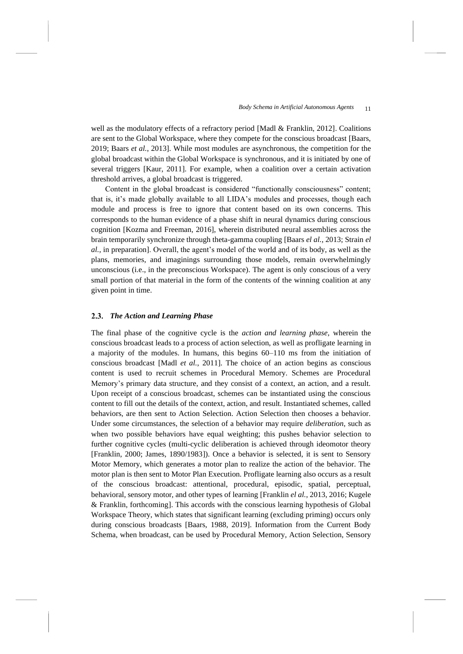well as the modulatory effects of a refractory period [Madl & Franklin, 2012]. Coalitions are sent to the Global Workspace, where they compete for the conscious broadcast [Baars, 2019; Baars *et al.*, 2013]. While most modules are asynchronous, the competition for the global broadcast within the Global Workspace is synchronous, and it is initiated by one of several triggers [Kaur, 2011]. For example, when a coalition over a certain activation threshold arrives, a global broadcast is triggered.

Content in the global broadcast is considered "functionally consciousness" content; that is, it's made globally available to all LIDA's modules and processes, though each module and process is free to ignore that content based on its own concerns. This corresponds to the human evidence of a phase shift in neural dynamics during conscious cognition [Kozma and Freeman, 2016], wherein distributed neural assemblies across the brain temporarily synchronize through theta-gamma coupling [Baars *el al.*, 2013; Strain *el al.*, in preparation]. Overall, the agent's model of the world and of its body, as well as the plans, memories, and imaginings surrounding those models, remain overwhelmingly unconscious (i.e., in the preconscious Workspace). The agent is only conscious of a very small portion of that material in the form of the contents of the winning coalition at any given point in time.

# <span id="page-10-0"></span>*The Action and Learning Phase*

The final phase of the cognitive cycle is the *action and learning phase*, wherein the conscious broadcast leads to a process of action selection, as well as profligate learning in a majority of the modules. In humans, this begins 60–110 ms from the initiation of conscious broadcast [Madl *et al.*, 2011]. The choice of an action begins as conscious content is used to recruit schemes in Procedural Memory. Schemes are Procedural Memory's primary data structure, and they consist of a context, an action, and a result. Upon receipt of a conscious broadcast, schemes can be instantiated using the conscious content to fill out the details of the context, action, and result. Instantiated schemes, called behaviors, are then sent to Action Selection. Action Selection then chooses a behavior. Under some circumstances, the selection of a behavior may require *deliberation*, such as when two possible behaviors have equal weighting; this pushes behavior selection to further cognitive cycles (multi-cyclic deliberation is achieved through ideomotor theory [Franklin, 2000; James, 1890/1983]). Once a behavior is selected, it is sent to Sensory Motor Memory, which generates a motor plan to realize the action of the behavior. The motor plan is then sent to Motor Plan Execution. Profligate learning also occurs as a result of the conscious broadcast: attentional, procedural, episodic, spatial, perceptual, behavioral, sensory motor, and other types of learning [Franklin *el al.*, 2013, 2016; Kugele & Franklin, forthcoming]. This accords with the conscious learning hypothesis of Global Workspace Theory, which states that significant learning (excluding priming) occurs only during conscious broadcasts [Baars, 1988, 2019]. Information from the Current Body Schema, when broadcast, can be used by Procedural Memory, Action Selection, Sensory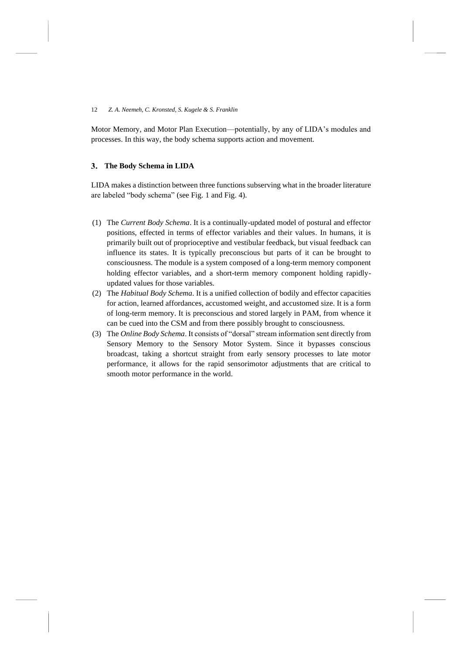Motor Memory, and Motor Plan Execution—potentially, by any of LIDA's modules and processes. In this way, the body schema supports action and movement.

# <span id="page-11-0"></span>**The Body Schema in LIDA**

LIDA makes a distinction between three functions subserving what in the broader literature are labeled "body schema" (see Fig. 1 and Fig. 4).

- (1) The *Current Body Schema*. It is a continually-updated model of postural and effector positions, effected in terms of effector variables and their values. In humans, it is primarily built out of proprioceptive and vestibular feedback, but visual feedback can influence its states. It is typically preconscious but parts of it can be brought to consciousness. The module is a system composed of a long-term memory component holding effector variables, and a short-term memory component holding rapidlyupdated values for those variables.
- (2) The *Habitual Body Schema*. It is a unified collection of bodily and effector capacities for action, learned affordances, accustomed weight, and accustomed size. It is a form of long-term memory. It is preconscious and stored largely in PAM, from whence it can be cued into the CSM and from there possibly brought to consciousness.
- (3) The *Online Body Schema*. It consists of "dorsal" stream information sent directly from Sensory Memory to the Sensory Motor System. Since it bypasses conscious broadcast, taking a shortcut straight from early sensory processes to late motor performance, it allows for the rapid sensorimotor adjustments that are critical to smooth motor performance in the world.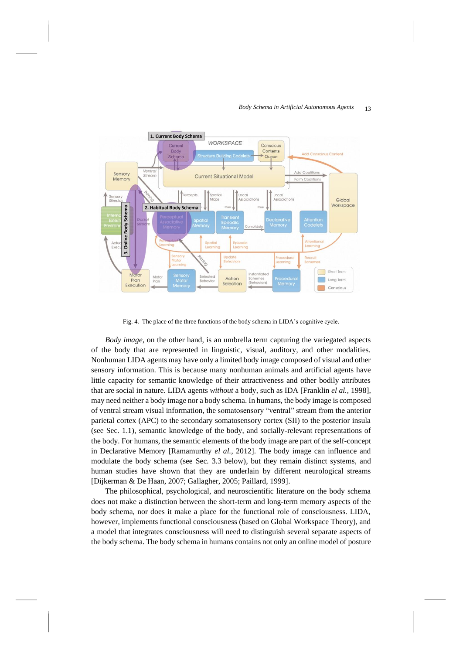#### *Body Schema in Artificial Autonomous Agents*  13



Fig. 4. The place of the three functions of the body schema in LIDA's cognitive cycle.

*Body image*, on the other hand, is an umbrella term capturing the variegated aspects of the body that are represented in linguistic, visual, auditory, and other modalities. Nonhuman LIDA agents may have only a limited body image composed of visual and other sensory information. This is because many nonhuman animals and artificial agents have little capacity for semantic knowledge of their attractiveness and other bodily attributes that are social in nature. LIDA agents *without* a body, such as IDA [Franklin *el al.*, 1998], may need neither a body image nor a body schema. In humans, the body image is composed of ventral stream visual information, the somatosensory "ventral" stream from the anterior parietal cortex (APC) to the secondary somatosensory cortex (SII) to the posterior insula (see Sec. 1.1), semantic knowledge of the body, and socially-relevant representations of the body. For humans, the semantic elements of the body image are part of the self-concept in Declarative Memory [Ramamurthy *el al.*, 2012]. The body image can influence and modulate the body schema (see Sec. [3.3](#page-20-0) below), but they remain distinct systems, and human studies have shown that they are underlain by different neurological streams [Dijkerman & De Haan, 2007; Gallagher, 2005; Paillard, 1999].

The philosophical, psychological, and neuroscientific literature on the body schema does not make a distinction between the short-term and long-term memory aspects of the body schema, nor does it make a place for the functional role of consciousness. LIDA, however, implements functional consciousness (based on Global Workspace Theory), and a model that integrates consciousness will need to distinguish several separate aspects of the body schema. The body schema in humans contains not only an online model of posture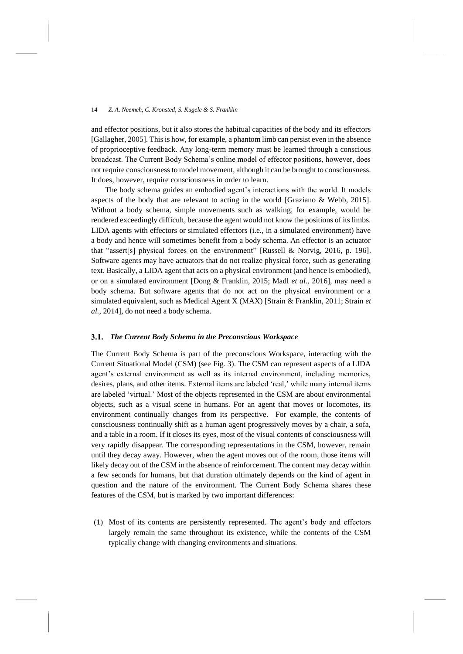and effector positions, but it also stores the habitual capacities of the body and its effectors [Gallagher, 2005]. This is how, for example, a phantom limb can persist even in the absence of proprioceptive feedback. Any long-term memory must be learned through a conscious broadcast. The Current Body Schema's online model of effector positions, however, does not require consciousness to model movement, although it can be brought to consciousness. It does, however, require consciousness in order to learn.

The body schema guides an embodied agent's interactions with the world. It models aspects of the body that are relevant to acting in the world [Graziano & Webb, 2015]. Without a body schema, simple movements such as walking, for example, would be rendered exceedingly difficult, because the agent would not know the positions of its limbs. LIDA agents with effectors or simulated effectors (i.e., in a simulated environment) have a body and hence will sometimes benefit from a body schema. An effector is an actuator that "assert[s] physical forces on the environment" [Russell & Norvig, 2016, p. 196]. Software agents may have actuators that do not realize physical force, such as generating text. Basically, a LIDA agent that acts on a physical environment (and hence is embodied), or on a simulated environment [Dong & Franklin, 2015; Madl *et al.*, 2016], may need a body schema. But software agents that do not act on the physical environment or a simulated equivalent, such as Medical Agent X (MAX) [Strain & Franklin, 2011; Strain *et al.*, 2014], do not need a body schema.

# *The Current Body Schema in the Preconscious Workspace*

The Current Body Schema is part of the preconscious Workspace, interacting with the Current Situational Model (CSM) (see Fig. 3). The CSM can represent aspects of a LIDA agent's external environment as well as its internal environment, including memories, desires, plans, and other items. External items are labeled 'real,' while many internal items are labeled 'virtual.' Most of the objects represented in the CSM are about environmental objects, such as a visual scene in humans. For an agent that moves or locomotes, its environment continually changes from its perspective. For example, the contents of consciousness continually shift as a human agent progressively moves by a chair, a sofa, and a table in a room. If it closes its eyes, most of the visual contents of consciousness will very rapidly disappear. The corresponding representations in the CSM, however, remain until they decay away. However, when the agent moves out of the room, those items will likely decay out of the CSM in the absence of reinforcement. The content may decay within a few seconds for humans, but that duration ultimately depends on the kind of agent in question and the nature of the environment. The Current Body Schema shares these features of the CSM, but is marked by two important differences:

(1) Most of its contents are persistently represented. The agent's body and effectors largely remain the same throughout its existence, while the contents of the CSM typically change with changing environments and situations.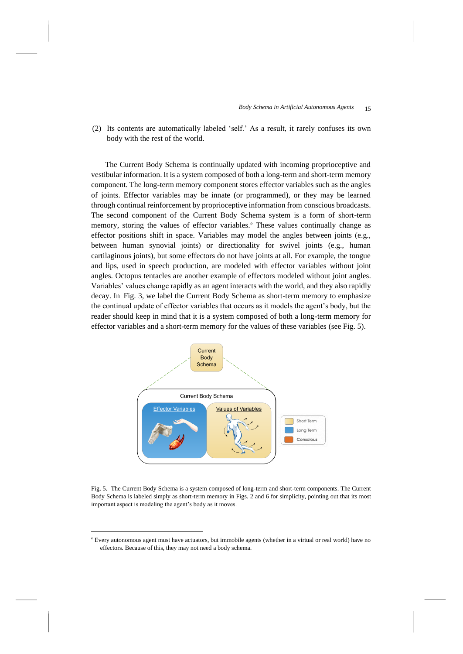(2) Its contents are automatically labeled 'self.' As a result, it rarely confuses its own body with the rest of the world.

The Current Body Schema is continually updated with incoming proprioceptive and vestibular information. It is a system composed of both a long-term and short-term memory component. The long-term memory component stores effector variables such as the angles of joints. Effector variables may be innate (or programmed), or they may be learned through continual reinforcement by proprioceptive information from conscious broadcasts. The second component of the Current Body Schema system is a form of short-term memory, storing the values of effector variables.<sup>e</sup> These values continually change as effector positions shift in space. Variables may model the angles between joints (e.g., between human synovial joints) or directionality for swivel joints (e.g., human cartilaginous joints), but some effectors do not have joints at all. For example, the tongue and lips, used in speech production, are modeled with effector variables without joint angles. Octopus tentacles are another example of effectors modeled without joint angles. Variables' values change rapidly as an agent interacts with the world, and they also rapidly decay. In Fig. 3, we label the Current Body Schema as short-term memory to emphasize the continual update of effector variables that occurs as it models the agent's body, but the reader should keep in mind that it is a system composed of both a long-term memory for effector variables and a short-term memory for the values of these variables (see Fig. 5).



Fig. 5. The Current Body Schema is a system composed of long-term and short-term components. The Current Body Schema is labeled simply as short-term memory in Figs. 2 and 6 for simplicity, pointing out that its most important aspect is modeling the agent's body as it moves.

<sup>e</sup> Every autonomous agent must have actuators, but immobile agents (whether in a virtual or real world) have no effectors. Because of this, they may not need a body schema.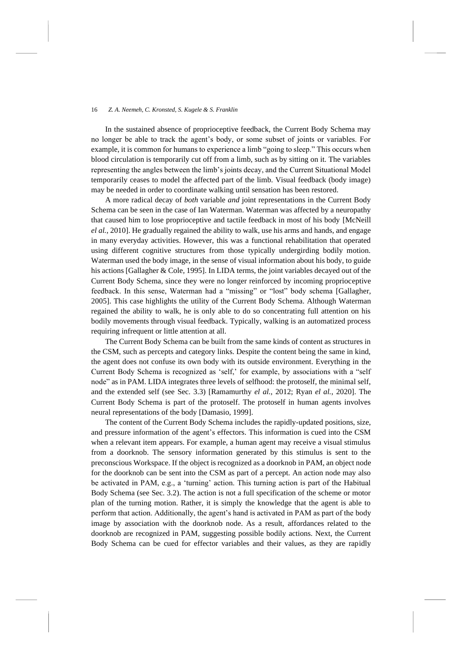In the sustained absence of proprioceptive feedback, the Current Body Schema may no longer be able to track the agent's body, or some subset of joints or variables. For example, it is common for humans to experience a limb "going to sleep." This occurs when blood circulation is temporarily cut off from a limb, such as by sitting on it. The variables representing the angles between the limb's joints decay, and the Current Situational Model temporarily ceases to model the affected part of the limb. Visual feedback (body image) may be needed in order to coordinate walking until sensation has been restored.

A more radical decay of *both* variable *and* joint representations in the Current Body Schema can be seen in the case of Ian Waterman. Waterman was affected by a neuropathy that caused him to lose proprioceptive and tactile feedback in most of his body [McNeill *el al.*, 2010]. He gradually regained the ability to walk, use his arms and hands, and engage in many everyday activities. However, this was a functional rehabilitation that operated using different cognitive structures from those typically undergirding bodily motion. Waterman used the body image, in the sense of visual information about his body, to guide his actions [Gallagher & Cole, 1995]. In LIDA terms, the joint variables decayed out of the Current Body Schema, since they were no longer reinforced by incoming proprioceptive feedback. In this sense, Waterman had a "missing" or "lost" body schema [Gallagher, 2005]. This case highlights the utility of the Current Body Schema. Although Waterman regained the ability to walk, he is only able to do so concentrating full attention on his bodily movements through visual feedback. Typically, walking is an automatized process requiring infrequent or little attention at all.

The Current Body Schema can be built from the same kinds of content as structures in the CSM, such as percepts and category links. Despite the content being the same in kind, the agent does not confuse its own body with its outside environment. Everything in the Current Body Schema is recognized as 'self,' for example, by associations with a "self node" as in PAM. LIDA integrates three levels of selfhood: the protoself, the minimal self, and the extended self (see Sec. [3.3\)](#page-20-0) [Ramamurthy *el al.*, 2012; Ryan *el al.*, 2020]. The Current Body Schema is part of the protoself. The protoself in human agents involves neural representations of the body [Damasio, 1999].

The content of the Current Body Schema includes the rapidly-updated positions, size, and pressure information of the agent's effectors. This information is cued into the CSM when a relevant item appears. For example, a human agent may receive a visual stimulus from a doorknob. The sensory information generated by this stimulus is sent to the preconscious Workspace. If the object is recognized as a doorknob in PAM, an object node for the doorknob can be sent into the CSM as part of a percept. An action node may also be activated in PAM, e.g., a 'turning' action. This turning action is part of the Habitual Body Schema (see Sec. [3.2\)](#page-19-0). The action is not a full specification of the scheme or motor plan of the turning motion. Rather, it is simply the knowledge that the agent is able to perform that action. Additionally, the agent's hand is activated in PAM as part of the body image by association with the doorknob node. As a result, affordances related to the doorknob are recognized in PAM, suggesting possible bodily actions. Next, the Current Body Schema can be cued for effector variables and their values, as they are rapidly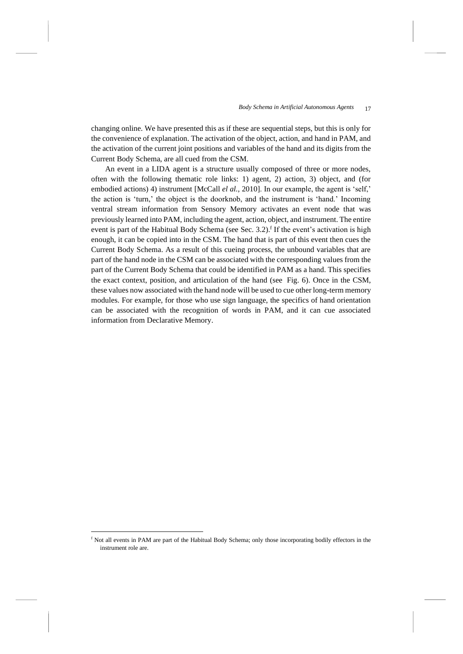changing online. We have presented this as if these are sequential steps, but this is only for the convenience of explanation. The activation of the object, action, and hand in PAM, and the activation of the current joint positions and variables of the hand and its digits from the Current Body Schema, are all cued from the CSM.

An event in a LIDA agent is a structure usually composed of three or more nodes, often with the following thematic role links: 1) agent, 2) action, 3) object, and (for embodied actions) 4) instrument [McCall *el al.*, 2010]. In our example, the agent is 'self,' the action is 'turn,' the object is the doorknob, and the instrument is 'hand.' Incoming ventral stream information from Sensory Memory activates an event node that was previously learned into PAM, including the agent, action, object, and instrument. The entire event is part of the Habitual Body Schema (see Sec. [3.2\)](#page-19-0).<sup>f</sup> If the event's activation is high enough, it can be copied into in the CSM. The hand that is part of this event then cues the Current Body Schema. As a result of this cueing process, the unbound variables that are part of the hand node in the CSM can be associated with the corresponding values from the part of the Current Body Schema that could be identified in PAM as a hand. This specifies the exact context, position, and articulation of the hand (see Fig. 6). Once in the CSM, these values now associated with the hand node will be used to cue other long-term memory modules. For example, for those who use sign language, the specifics of hand orientation can be associated with the recognition of words in PAM, and it can cue associated information from Declarative Memory.

<sup>f</sup> Not all events in PAM are part of the Habitual Body Schema; only those incorporating bodily effectors in the instrument role are.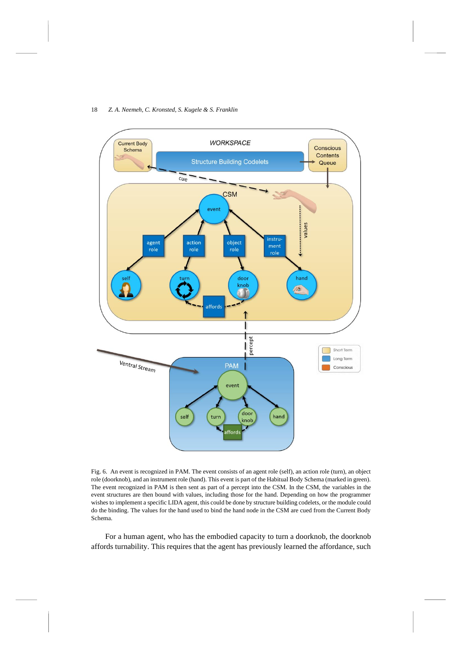

Fig. 6. An event is recognized in PAM. The event consists of an agent role (self), an action role (turn), an object role (doorknob), and an instrument role (hand). This event is part of the Habitual Body Schema (marked in green). The event recognized in PAM is then sent as part of a percept into the CSM. In the CSM, the variables in the event structures are then bound with values, including those for the hand. Depending on how the programmer wishes to implement a specific LIDA agent, this could be done by structure building codelets, or the module could do the binding. The values for the hand used to bind the hand node in the CSM are cued from the Current Body Schema.

For a human agent, who has the embodied capacity to turn a doorknob, the doorknob affords turnability. This requires that the agent has previously learned the affordance, such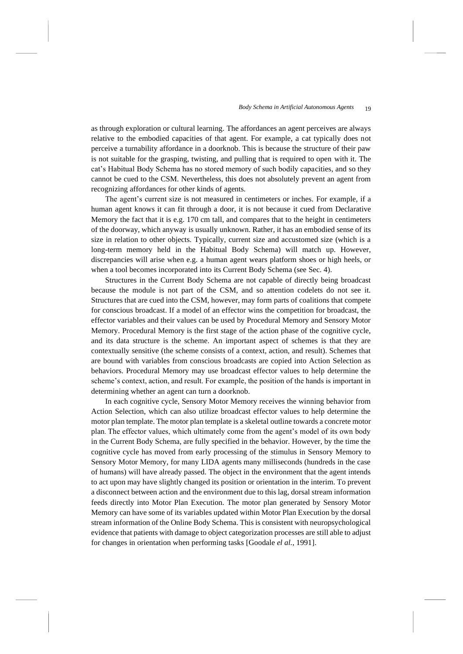as through exploration or cultural learning. The affordances an agent perceives are always relative to the embodied capacities of that agent. For example, a cat typically does not perceive a turnability affordance in a doorknob. This is because the structure of their paw is not suitable for the grasping, twisting, and pulling that is required to open with it. The cat's Habitual Body Schema has no stored memory of such bodily capacities, and so they cannot be cued to the CSM. Nevertheless, this does not absolutely prevent an agent from recognizing affordances for other kinds of agents.

The agent's current size is not measured in centimeters or inches. For example, if a human agent knows it can fit through a door, it is not because it cued from Declarative Memory the fact that it is e.g. 170 cm tall, and compares that to the height in centimeters of the doorway, which anyway is usually unknown. Rather, it has an embodied sense of its size in relation to other objects. Typically, current size and accustomed size (which is a long-term memory held in the Habitual Body Schema) will match up. However, discrepancies will arise when e.g. a human agent wears platform shoes or high heels, or when a tool becomes incorporated into its Current Body Schema (see Sec. [4\)](#page-21-0).

Structures in the Current Body Schema are not capable of directly being broadcast because the module is not part of the CSM, and so attention codelets do not see it. Structures that are cued into the CSM, however, may form parts of coalitions that compete for conscious broadcast. If a model of an effector wins the competition for broadcast, the effector variables and their values can be used by Procedural Memory and Sensory Motor Memory. Procedural Memory is the first stage of the action phase of the cognitive cycle, and its data structure is the scheme. An important aspect of schemes is that they are contextually sensitive (the scheme consists of a context, action, and result). Schemes that are bound with variables from conscious broadcasts are copied into Action Selection as behaviors. Procedural Memory may use broadcast effector values to help determine the scheme's context, action, and result. For example, the position of the hands is important in determining whether an agent can turn a doorknob.

In each cognitive cycle, Sensory Motor Memory receives the winning behavior from Action Selection, which can also utilize broadcast effector values to help determine the motor plan template. The motor plan template is a skeletal outline towards a concrete motor plan. The effector values, which ultimately come from the agent's model of its own body in the Current Body Schema, are fully specified in the behavior. However, by the time the cognitive cycle has moved from early processing of the stimulus in Sensory Memory to Sensory Motor Memory, for many LIDA agents many milliseconds (hundreds in the case of humans) will have already passed. The object in the environment that the agent intends to act upon may have slightly changed its position or orientation in the interim. To prevent a disconnect between action and the environment due to this lag, dorsal stream information feeds directly into Motor Plan Execution. The motor plan generated by Sensory Motor Memory can have some of its variables updated within Motor Plan Execution by the dorsal stream information of the Online Body Schema. This is consistent with neuropsychological evidence that patients with damage to object categorization processes are still able to adjust for changes in orientation when performing tasks [Goodale *el al.*, 1991].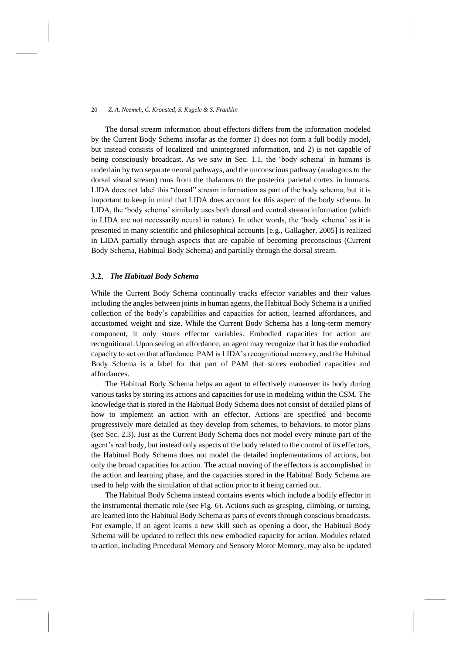The dorsal stream information about effectors differs from the information modeled by the Current Body Schema insofar as the former 1) does not form a full bodily model, but instead consists of localized and unintegrated information, and 2) is not capable of being consciously broadcast. As we saw in Sec. [1.1,](#page-3-0) the 'body schema' in humans is underlain by two separate neural pathways, and the unconscious pathway (analogous to the dorsal visual stream) runs from the thalamus to the posterior parietal cortex in humans. LIDA does not label this "dorsal" stream information as part of the body schema, but it is important to keep in mind that LIDA does account for this aspect of the body schema. In LIDA, the 'body schema' similarly uses both dorsal and ventral stream information (which in LIDA are not necessarily neural in nature). In other words, the 'body schema' as it is presented in many scientific and philosophical accounts [e.g., Gallagher, 2005] is realized in LIDA partially through aspects that are capable of becoming preconscious (Current Body Schema, Habitual Body Schema) and partially through the dorsal stream.

# <span id="page-19-0"></span>*The Habitual Body Schema*

While the Current Body Schema continually tracks effector variables and their values including the angles between joints in human agents, the Habitual Body Schema is a unified collection of the body's capabilities and capacities for action, learned affordances, and accustomed weight and size. While the Current Body Schema has a long-term memory component, it only stores effector variables. Embodied capacities for action are recognitional. Upon seeing an affordance, an agent may recognize that it has the embodied capacity to act on that affordance. PAM is LIDA's recognitional memory, and the Habitual Body Schema is a label for that part of PAM that stores embodied capacities and affordances.

The Habitual Body Schema helps an agent to effectively maneuver its body during various tasks by storing its actions and capacities for use in modeling within the CSM. The knowledge that is stored in the Habitual Body Schema does not consist of detailed plans of how to implement an action with an effector. Actions are specified and become progressively more detailed as they develop from schemes, to behaviors, to motor plans (see Sec. [2.3\)](#page-10-0). Just as the Current Body Schema does not model every minute part of the agent's real body, but instead only aspects of the body related to the control of its effectors, the Habitual Body Schema does not model the detailed implementations of actions, but only the broad capacities for action. The actual moving of the effectors is accomplished in the action and learning phase, and the capacities stored in the Habitual Body Schema are used to help with the simulation of that action prior to it being carried out.

The Habitual Body Schema instead contains events which include a bodily effector in the instrumental thematic role (see Fig. 6). Actions such as grasping, climbing, or turning, are learned into the Habitual Body Schema as parts of events through conscious broadcasts. For example, if an agent learns a new skill such as opening a door, the Habitual Body Schema will be updated to reflect this new embodied capacity for action. Modules related to action, including Procedural Memory and Sensory Motor Memory, may also be updated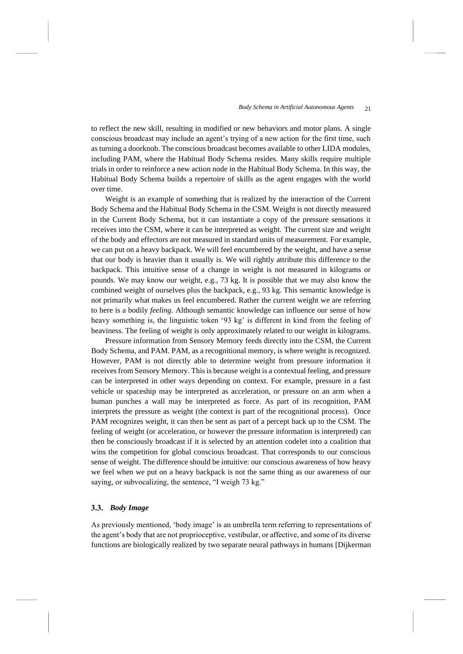to reflect the new skill, resulting in modified or new behaviors and motor plans. A single conscious broadcast may include an agent's trying of a new action for the first time, such as turning a doorknob. The conscious broadcast becomes available to other LIDA modules, including PAM, where the Habitual Body Schema resides. Many skills require multiple trials in order to reinforce a new action node in the Habitual Body Schema. In this way, the Habitual Body Schema builds a repertoire of skills as the agent engages with the world over time.

Weight is an example of something that is realized by the interaction of the Current Body Schema and the Habitual Body Schema in the CSM. Weight is not directly measured in the Current Body Schema, but it can instantiate a copy of the pressure sensations it receives into the CSM, where it can be interpreted as weight. The current size and weight of the body and effectors are not measured in standard units of measurement. For example, we can put on a heavy backpack. We will feel encumbered by the weight, and have a sense that our body is heavier than it usually is. We will rightly attribute this difference to the backpack. This intuitive sense of a change in weight is not measured in kilograms or pounds. We may know our weight, e.g., 73 kg. It is possible that we may also know the combined weight of ourselves plus the backpack, e.g., 93 kg. This semantic knowledge is not primarily what makes us feel encumbered. Rather the current weight we are referring to here is a bodily *feeling*. Although semantic knowledge can influence our sense of how heavy something is, the linguistic token '93 kg' is different in kind from the feeling of heaviness. The feeling of weight is only approximately related to our weight in kilograms.

Pressure information from Sensory Memory feeds directly into the CSM, the Current Body Schema, and PAM. PAM, as a recognitional memory, is where weight is recognized. However, PAM is not directly able to determine weight from pressure information it receives from Sensory Memory. This is because weight is a contextual feeling, and pressure can be interpreted in other ways depending on context. For example, pressure in a fast vehicle or spaceship may be interpreted as acceleration, or pressure on an arm when a human punches a wall may be interpreted as force. As part of its recognition, PAM interprets the pressure as weight (the context is part of the recognitional process). Once PAM recognizes weight, it can then be sent as part of a percept back up to the CSM. The feeling of weight (or acceleration, or however the pressure information is interpreted) can then be consciously broadcast if it is selected by an attention codelet into a coalition that wins the competition for global conscious broadcast. That corresponds to our conscious sense of weight. The difference should be intuitive: our conscious awareness of how heavy we feel when we put on a heavy backpack is not the same thing as our awareness of our saying, or subvocalizing, the sentence, "I weigh 73 kg."

# <span id="page-20-0"></span>*Body Image*

As previously mentioned, 'body image' is an umbrella term referring to representations of the agent's body that are not proprioceptive, vestibular, or affective, and some of its diverse functions are biologically realized by two separate neural pathways in humans [Dijkerman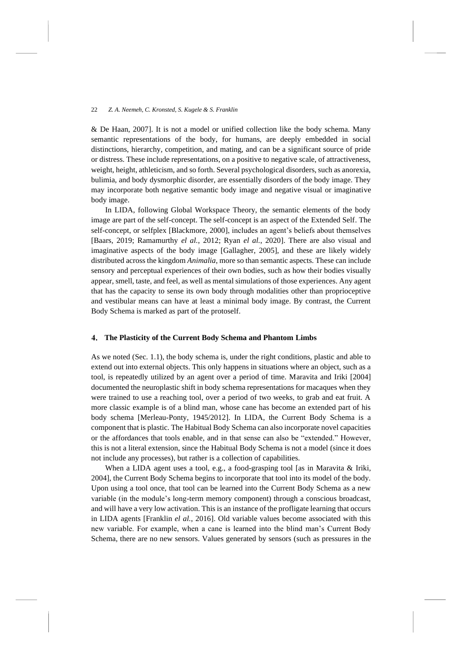& De Haan, 2007]. It is not a model or unified collection like the body schema. Many semantic representations of the body, for humans, are deeply embedded in social distinctions, hierarchy, competition, and mating, and can be a significant source of pride or distress. These include representations, on a positive to negative scale, of attractiveness, weight, height, athleticism, and so forth. Several psychological disorders, such as anorexia, bulimia, and body dysmorphic disorder, are essentially disorders of the body image. They may incorporate both negative semantic body image and negative visual or imaginative body image.

In LIDA, following Global Workspace Theory, the semantic elements of the body image are part of the self-concept. The self-concept is an aspect of the Extended Self. The self-concept, or selfplex [Blackmore, 2000], includes an agent's beliefs about themselves [Baars, 2019; Ramamurthy *el al.*, 2012; Ryan *el al.*, 2020]. There are also visual and imaginative aspects of the body image [Gallagher, 2005], and these are likely widely distributed across the kingdom *Animalia*, more so than semantic aspects. These can include sensory and perceptual experiences of their own bodies, such as how their bodies visually appear, smell, taste, and feel, as well as mental simulations of those experiences. Any agent that has the capacity to sense its own body through modalities other than proprioceptive and vestibular means can have at least a minimal body image. By contrast, the Current Body Schema is marked as part of the protoself.

### <span id="page-21-0"></span> $\mathbf{4}$ . **The Plasticity of the Current Body Schema and Phantom Limbs**

As we noted (Sec. 1.1), the body schema is, under the right conditions, plastic and able to extend out into external objects. This only happens in situations where an object, such as a tool, is repeatedly utilized by an agent over a period of time. Maravita and Iriki [2004] documented the neuroplastic shift in body schema representations for macaques when they were trained to use a reaching tool, over a period of two weeks, to grab and eat fruit. A more classic example is of a blind man, whose cane has become an extended part of his body schema [Merleau-Ponty, 1945/2012]. In LIDA, the Current Body Schema is a component that is plastic. The Habitual Body Schema can also incorporate novel capacities or the affordances that tools enable, and in that sense can also be "extended." However, this is not a literal extension, since the Habitual Body Schema is not a model (since it does not include any processes), but rather is a collection of capabilities.

When a LIDA agent uses a tool, e.g., a food-grasping tool [as in Maravita & Iriki, 2004], the Current Body Schema begins to incorporate that tool into its model of the body. Upon using a tool once, that tool can be learned into the Current Body Schema as a new variable (in the module's long-term memory component) through a conscious broadcast, and will have a very low activation. This is an instance of the profligate learning that occurs in LIDA agents [Franklin *el al.*, 2016]. Old variable values become associated with this new variable. For example, when a cane is learned into the blind man's Current Body Schema, there are no new sensors. Values generated by sensors (such as pressures in the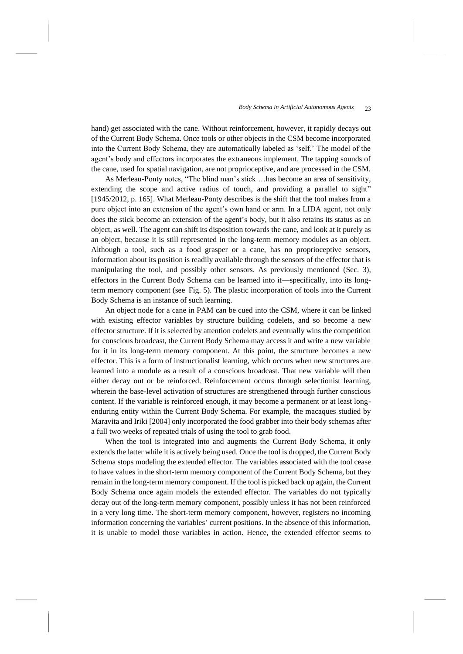hand) get associated with the cane. Without reinforcement, however, it rapidly decays out of the Current Body Schema. Once tools or other objects in the CSM become incorporated into the Current Body Schema, they are automatically labeled as 'self.' The model of the agent's body and effectors incorporates the extraneous implement. The tapping sounds of the cane, used for spatial navigation, are not proprioceptive, and are processed in the CSM.

As Merleau-Ponty notes, "The blind man's stick …has become an area of sensitivity, extending the scope and active radius of touch, and providing a parallel to sight" [1945/2012, p. 165]. What Merleau-Ponty describes is the shift that the tool makes from a pure object into an extension of the agent's own hand or arm. In a LIDA agent, not only does the stick become an extension of the agent's body, but it also retains its status as an object, as well. The agent can shift its disposition towards the cane, and look at it purely as an object, because it is still represented in the long-term memory modules as an object. Although a tool, such as a food grasper or a cane, has no proprioceptive sensors, information about its position is readily available through the sensors of the effector that is manipulating the tool, and possibly other sensors. As previously mentioned (Sec. [3\)](#page-11-0), effectors in the Current Body Schema can be learned into it—specifically, into its longterm memory component (see Fig. 5). The plastic incorporation of tools into the Current Body Schema is an instance of such learning.

An object node for a cane in PAM can be cued into the CSM, where it can be linked with existing effector variables by structure building codelets, and so become a new effector structure. If it is selected by attention codelets and eventually wins the competition for conscious broadcast, the Current Body Schema may access it and write a new variable for it in its long-term memory component. At this point, the structure becomes a new effector. This is a form of instructionalist learning, which occurs when new structures are learned into a module as a result of a conscious broadcast. That new variable will then either decay out or be reinforced. Reinforcement occurs through selectionist learning, wherein the base-level activation of structures are strengthened through further conscious content. If the variable is reinforced enough, it may become a permanent or at least longenduring entity within the Current Body Schema. For example, the macaques studied by Maravita and Iriki [2004] only incorporated the food grabber into their body schemas after a full two weeks of repeated trials of using the tool to grab food.

When the tool is integrated into and augments the Current Body Schema, it only extends the latter while it is actively being used. Once the tool is dropped, the Current Body Schema stops modeling the extended effector. The variables associated with the tool cease to have values in the short-term memory component of the Current Body Schema, but they remain in the long-term memory component. If the tool is picked back up again, the Current Body Schema once again models the extended effector. The variables do not typically decay out of the long-term memory component, possibly unless it has not been reinforced in a very long time. The short-term memory component, however, registers no incoming information concerning the variables' current positions. In the absence of this information, it is unable to model those variables in action. Hence, the extended effector seems to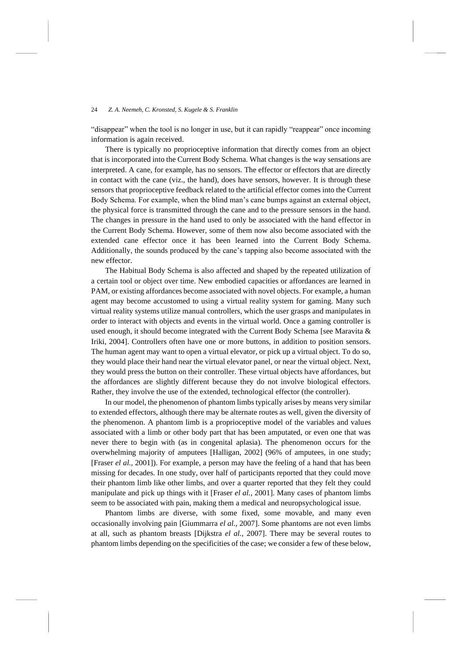"disappear" when the tool is no longer in use, but it can rapidly "reappear" once incoming information is again received.

There is typically no proprioceptive information that directly comes from an object that is incorporated into the Current Body Schema. What changes is the way sensations are interpreted. A cane, for example, has no sensors. The effector or effectors that are directly in contact with the cane (viz., the hand), does have sensors, however. It is through these sensors that proprioceptive feedback related to the artificial effector comes into the Current Body Schema. For example, when the blind man's cane bumps against an external object, the physical force is transmitted through the cane and to the pressure sensors in the hand. The changes in pressure in the hand used to only be associated with the hand effector in the Current Body Schema. However, some of them now also become associated with the extended cane effector once it has been learned into the Current Body Schema. Additionally, the sounds produced by the cane's tapping also become associated with the new effector.

The Habitual Body Schema is also affected and shaped by the repeated utilization of a certain tool or object over time. New embodied capacities or affordances are learned in PAM, or existing affordances become associated with novel objects. For example, a human agent may become accustomed to using a virtual reality system for gaming. Many such virtual reality systems utilize manual controllers, which the user grasps and manipulates in order to interact with objects and events in the virtual world. Once a gaming controller is used enough, it should become integrated with the Current Body Schema [see Maravita & Iriki, 2004]. Controllers often have one or more buttons, in addition to position sensors. The human agent may want to open a virtual elevator, or pick up a virtual object. To do so, they would place their hand near the virtual elevator panel, or near the virtual object. Next, they would press the button on their controller. These virtual objects have affordances, but the affordances are slightly different because they do not involve biological effectors. Rather, they involve the use of the extended, technological effector (the controller).

In our model, the phenomenon of phantom limbs typically arises by means very similar to extended effectors, although there may be alternate routes as well, given the diversity of the phenomenon. A phantom limb is a proprioceptive model of the variables and values associated with a limb or other body part that has been amputated, or even one that was never there to begin with (as in congenital aplasia). The phenomenon occurs for the overwhelming majority of amputees [Halligan, 2002] (96% of amputees, in one study; [Fraser *el al.*, 2001]). For example, a person may have the feeling of a hand that has been missing for decades. In one study, over half of participants reported that they could move their phantom limb like other limbs, and over a quarter reported that they felt they could manipulate and pick up things with it [Fraser *el al.*, 2001]. Many cases of phantom limbs seem to be associated with pain, making them a medical and neuropsychological issue.

Phantom limbs are diverse, with some fixed, some movable, and many even occasionally involving pain [Giummarra *el al.*, 2007]. Some phantoms are not even limbs at all, such as phantom breasts [Dijkstra *el al.*, 2007]. There may be several routes to phantom limbs depending on the specificities of the case; we consider a few of these below,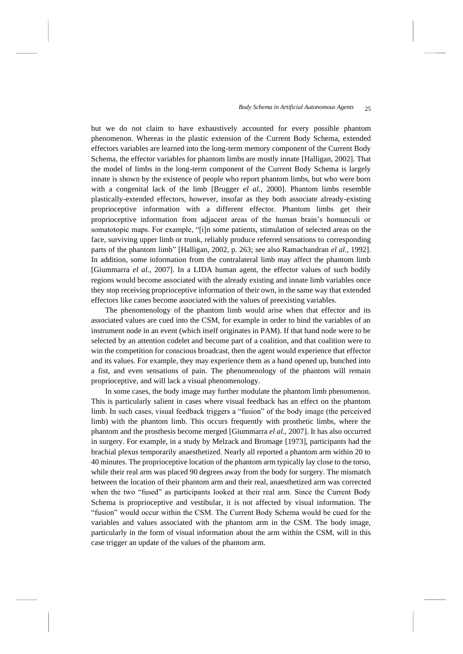but we do not claim to have exhaustively accounted for every possible phantom phenomenon. Whereas in the plastic extension of the Current Body Schema, extended effectors variables are learned into the long-term memory component of the Current Body Schema, the effector variables for phantom limbs are mostly innate [Halligan, 2002]. That the model of limbs in the long-term component of the Current Body Schema is largely innate is shown by the existence of people who report phantom limbs, but who were born with a congenital lack of the limb [Brugger *el al.*, 2000]. Phantom limbs resemble plastically-extended effectors, however, insofar as they both associate already-existing proprioceptive information with a different effector. Phantom limbs get their proprioceptive information from adjacent areas of the human brain's homunculi or somatotopic maps. For example, "[i]n some patients, stimulation of selected areas on the face, surviving upper limb or trunk, reliably produce referred sensations to corresponding parts of the phantom limb" [Halligan, 2002, p. 263; see also Ramachandran *el al.*, 1992]. In addition, some information from the contralateral limb may affect the phantom limb [Giummarra *el al.*, 2007]. In a LIDA human agent, the effector values of such bodily regions would become associated with the already existing and innate limb variables once they stop receiving proprioceptive information of their own, in the same way that extended effectors like canes become associated with the values of preexisting variables.

The phenomenology of the phantom limb would arise when that effector and its associated values are cued into the CSM, for example in order to bind the variables of an instrument node in an event (which itself originates in PAM). If that hand node were to be selected by an attention codelet and become part of a coalition, and that coalition were to win the competition for conscious broadcast, then the agent would experience that effector and its values. For example, they may experience them as a hand opened up, bunched into a fist, and even sensations of pain. The phenomenology of the phantom will remain proprioceptive, and will lack a visual phenomenology.

In some cases, the body image may further modulate the phantom limb phenomenon. This is particularly salient in cases where visual feedback has an effect on the phantom limb. In such cases, visual feedback triggers a "fusion" of the body image (the perceived limb) with the phantom limb. This occurs frequently with prosthetic limbs, where the phantom and the prosthesis become merged [Giummarra *el al.*, 2007]. It has also occurred in surgery. For example, in a study by Melzack and Bromage [1973], participants had the brachial plexus temporarily anaesthetized. Nearly all reported a phantom arm within 20 to 40 minutes. The proprioceptive location of the phantom arm typically lay close to the torso, while their real arm was placed 90 degrees away from the body for surgery. The mismatch between the location of their phantom arm and their real, anaesthetized arm was corrected when the two "fused" as participants looked at their real arm. Since the Current Body Schema is proprioceptive and vestibular, it is not affected by visual information. The "fusion" would occur within the CSM. The Current Body Schema would be cued for the variables and values associated with the phantom arm in the CSM. The body image, particularly in the form of visual information about the arm within the CSM, will in this case trigger an update of the values of the phantom arm.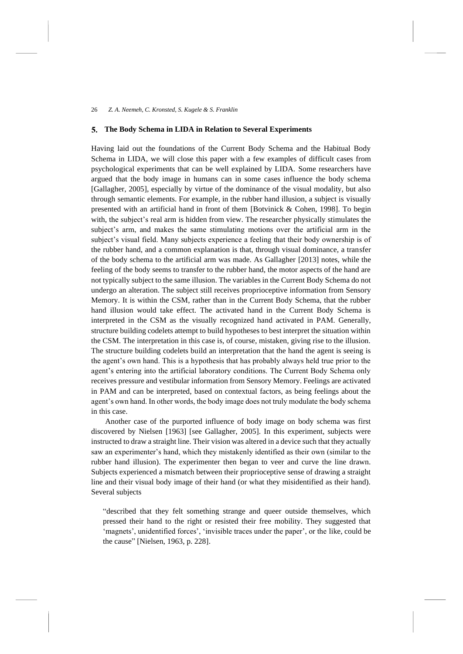#### <span id="page-25-0"></span>5. **The Body Schema in LIDA in Relation to Several Experiments**

Having laid out the foundations of the Current Body Schema and the Habitual Body Schema in LIDA, we will close this paper with a few examples of difficult cases from psychological experiments that can be well explained by LIDA. Some researchers have argued that the body image in humans can in some cases influence the body schema [Gallagher, 2005], especially by virtue of the dominance of the visual modality, but also through semantic elements. For example, in the rubber hand illusion, a subject is visually presented with an artificial hand in front of them [Botvinick & Cohen, 1998]. To begin with, the subject's real arm is hidden from view. The researcher physically stimulates the subject's arm, and makes the same stimulating motions over the artificial arm in the subject's visual field. Many subjects experience a feeling that their body ownership is of the rubber hand, and a common explanation is that, through visual dominance, a transfer of the body schema to the artificial arm was made. As Gallagher [2013] notes, while the feeling of the body seems to transfer to the rubber hand, the motor aspects of the hand are not typically subject to the same illusion. The variables in the Current Body Schema do not undergo an alteration. The subject still receives proprioceptive information from Sensory Memory. It is within the CSM, rather than in the Current Body Schema, that the rubber hand illusion would take effect. The activated hand in the Current Body Schema is interpreted in the CSM as the visually recognized hand activated in PAM. Generally, structure building codelets attempt to build hypotheses to best interpret the situation within the CSM. The interpretation in this case is, of course, mistaken, giving rise to the illusion. The structure building codelets build an interpretation that the hand the agent is seeing is the agent's own hand. This is a hypothesis that has probably always held true prior to the agent's entering into the artificial laboratory conditions. The Current Body Schema only receives pressure and vestibular information from Sensory Memory. Feelings are activated in PAM and can be interpreted, based on contextual factors, as being feelings about the agent's own hand. In other words, the body image does not truly modulate the body schema in this case.

Another case of the purported influence of body image on body schema was first discovered by Nielsen [1963] [see Gallagher, 2005]. In this experiment, subjects were instructed to draw a straight line. Their vision was altered in a device such that they actually saw an experimenter's hand, which they mistakenly identified as their own (similar to the rubber hand illusion). The experimenter then began to veer and curve the line drawn. Subjects experienced a mismatch between their proprioceptive sense of drawing a straight line and their visual body image of their hand (or what they misidentified as their hand). Several subjects

"described that they felt something strange and queer outside themselves, which pressed their hand to the right or resisted their free mobility. They suggested that 'magnets', unidentified forces', 'invisible traces under the paper', or the like, could be the cause" [Nielsen, 1963, p. 228].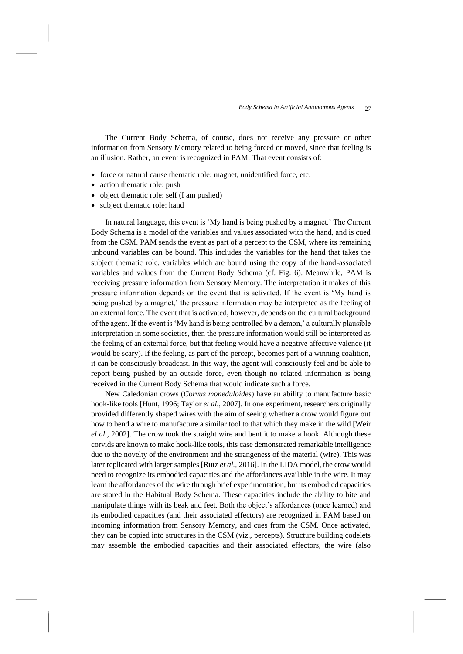The Current Body Schema, of course, does not receive any pressure or other information from Sensory Memory related to being forced or moved, since that feeling is an illusion. Rather, an event is recognized in PAM. That event consists of:

- force or natural cause thematic role: magnet, unidentified force, etc.
- action thematic role: push
- object thematic role: self (I am pushed)
- subject thematic role: hand

In natural language, this event is 'My hand is being pushed by a magnet.' The Current Body Schema is a model of the variables and values associated with the hand, and is cued from the CSM. PAM sends the event as part of a percept to the CSM, where its remaining unbound variables can be bound. This includes the variables for the hand that takes the subject thematic role, variables which are bound using the copy of the hand-associated variables and values from the Current Body Schema (cf. Fig. 6). Meanwhile, PAM is receiving pressure information from Sensory Memory. The interpretation it makes of this pressure information depends on the event that is activated. If the event is 'My hand is being pushed by a magnet,' the pressure information may be interpreted as the feeling of an external force. The event that is activated, however, depends on the cultural background of the agent. If the event is 'My hand is being controlled by a demon,' a culturally plausible interpretation in some societies, then the pressure information would still be interpreted as the feeling of an external force, but that feeling would have a negative affective valence (it would be scary). If the feeling, as part of the percept, becomes part of a winning coalition, it can be consciously broadcast. In this way, the agent will consciously feel and be able to report being pushed by an outside force, even though no related information is being received in the Current Body Schema that would indicate such a force.

New Caledonian crows (*Corvus moneduloides*) have an ability to manufacture basic hook-like tools [Hunt, 1996; Taylor *et al.*, 2007]. In one experiment, researchers originally provided differently shaped wires with the aim of seeing whether a crow would figure out how to bend a wire to manufacture a similar tool to that which they make in the wild [Weir *el al.*, 2002]. The crow took the straight wire and bent it to make a hook. Although these corvids are known to make hook-like tools, this case demonstrated remarkable intelligence due to the novelty of the environment and the strangeness of the material (wire). This was later replicated with larger samples [Rutz *et al.*, 2016]. In the LIDA model, the crow would need to recognize its embodied capacities and the affordances available in the wire. It may learn the affordances of the wire through brief experimentation, but its embodied capacities are stored in the Habitual Body Schema. These capacities include the ability to bite and manipulate things with its beak and feet. Both the object's affordances (once learned) and its embodied capacities (and their associated effectors) are recognized in PAM based on incoming information from Sensory Memory, and cues from the CSM. Once activated, they can be copied into structures in the CSM (viz., percepts). Structure building codelets may assemble the embodied capacities and their associated effectors, the wire (also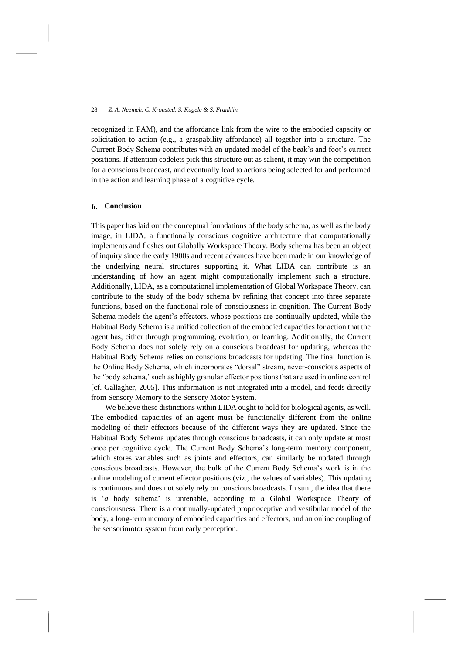recognized in PAM), and the affordance link from the wire to the embodied capacity or solicitation to action (e.g., a graspability affordance) all together into a structure. The Current Body Schema contributes with an updated model of the beak's and foot's current positions. If attention codelets pick this structure out as salient, it may win the competition for a conscious broadcast, and eventually lead to actions being selected for and performed in the action and learning phase of a cognitive cycle.

### 6. **Conclusion**

This paper has laid out the conceptual foundations of the body schema, as well as the body image, in LIDA, a functionally conscious cognitive architecture that computationally implements and fleshes out Globally Workspace Theory. Body schema has been an object of inquiry since the early 1900s and recent advances have been made in our knowledge of the underlying neural structures supporting it. What LIDA can contribute is an understanding of how an agent might computationally implement such a structure. Additionally, LIDA, as a computational implementation of Global Workspace Theory, can contribute to the study of the body schema by refining that concept into three separate functions, based on the functional role of consciousness in cognition. The Current Body Schema models the agent's effectors, whose positions are continually updated, while the Habitual Body Schema is a unified collection of the embodied capacities for action that the agent has, either through programming, evolution, or learning. Additionally, the Current Body Schema does not solely rely on a conscious broadcast for updating, whereas the Habitual Body Schema relies on conscious broadcasts for updating. The final function is the Online Body Schema, which incorporates "dorsal" stream, never-conscious aspects of the 'body schema,' such as highly granular effector positions that are used in online control [cf. Gallagher, 2005]. This information is not integrated into a model, and feeds directly from Sensory Memory to the Sensory Motor System.

We believe these distinctions within LIDA ought to hold for biological agents, as well. The embodied capacities of an agent must be functionally different from the online modeling of their effectors because of the different ways they are updated. Since the Habitual Body Schema updates through conscious broadcasts, it can only update at most once per cognitive cycle. The Current Body Schema's long-term memory component, which stores variables such as joints and effectors, can similarly be updated through conscious broadcasts. However, the bulk of the Current Body Schema's work is in the online modeling of current effector positions (viz., the values of variables). This updating is continuous and does not solely rely on conscious broadcasts. In sum, the idea that there is '*a* body schema' is untenable, according to a Global Workspace Theory of consciousness. There is a continually-updated proprioceptive and vestibular model of the body, a long-term memory of embodied capacities and effectors, and an online coupling of the sensorimotor system from early perception.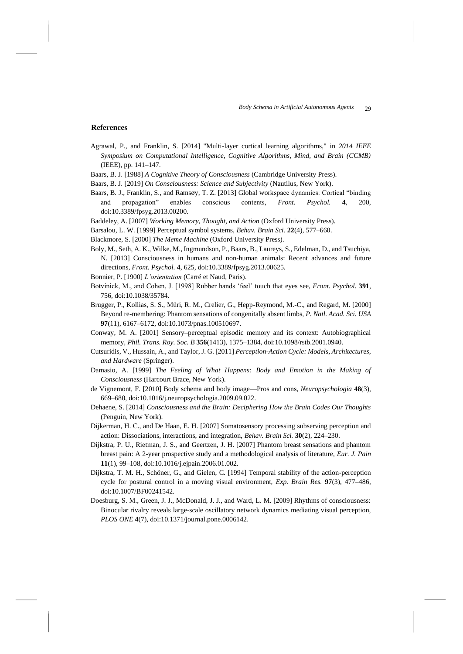### **References**

- Agrawal, P., and Franklin, S. [2014] "Multi-layer cortical learning algorithms," in *2014 IEEE Symposium on Computational Intelligence, Cognitive Algorithms, Mind, and Brain (CCMB)* (IEEE), pp. 141–147.
- Baars, B. J. [1988] *A Cognitive Theory of Consciousness* (Cambridge University Press).
- Baars, B. J. [2019] *On Consciousness: Science and Subjectivity* (Nautilus, New York).
- Baars, B. J., Franklin, S., and Ramsøy, T. Z. [2013] Global workspace dynamics: Cortical "binding and propagation" enables conscious contents, *Front. Psychol.* **4**, 200, doi:10.3389/fpsyg.2013.00200.
- Baddeley, A. [2007] *Working Memory, Thought, and Action* (Oxford University Press).
- Barsalou, L. W. [1999] Perceptual symbol systems, *Behav. Brain Sci.* **22**(4), 577–660.
- Blackmore, S. [2000] *The Meme Machine* (Oxford University Press).
- Boly, M., Seth, A. K., Wilke, M., Ingmundson, P., Baars, B., Laureys, S., Edelman, D., and Tsuchiya, N. [2013] Consciousness in humans and non-human animals: Recent advances and future directions, *Front. Psychol.* **4**, 625, doi:10.3389/fpsyg.2013.00625.
- Bonnier, P. [1900] *L'orientation* (Carré et Naud, Paris).
- Botvinick, M., and Cohen, J. [1998] Rubber hands 'feel' touch that eyes see, *Front. Psychol.* **391**, 756, doi:10.1038/35784.
- Brugger, P., Kollias, S. S., Müri, R. M., Crelier, G., Hepp-Reymond, M.-C., and Regard, M. [2000] Beyond re-membering: Phantom sensations of congenitally absent limbs, *P. Natl. Acad. Sci. USA* **97**(11), 6167–6172, doi:10.1073/pnas.100510697.
- Conway, M. A. [2001] Sensory–perceptual episodic memory and its context: Autobiographical memory, *Phil. Trans. Roy. Soc. B* **356**(1413), 1375–1384, doi:10.1098/rstb.2001.0940.
- Cutsuridis, V., Hussain, A., and Taylor, J. G. [2011] *Perception-Action Cycle: Models, Architectures, and Hardware* (Springer).
- Damasio, A. [1999] *The Feeling of What Happens: Body and Emotion in the Making of Consciousness* (Harcourt Brace, New York).
- de Vignemont, F. [2010] Body schema and body image—Pros and cons, *Neuropsychologia* **48**(3), 669–680, doi:10.1016/j.neuropsychologia.2009.09.022.
- Dehaene, S. [2014] *Consciousness and the Brain: Deciphering How the Brain Codes Our Thoughts* (Penguin, New York).
- Dijkerman, H. C., and De Haan, E. H. [2007] Somatosensory processing subserving perception and action: Dissociations, interactions, and integration, *Behav. Brain Sci.* **30**(2), 224–230.
- Dijkstra, P. U., Rietman, J. S., and Geertzen, J. H. [2007] Phantom breast sensations and phantom breast pain: A 2-year prospective study and a methodological analysis of literature, *Eur. J. Pain* **11**(1), 99–108, doi:10.1016/j.ejpain.2006.01.002.
- Dijkstra, T. M. H., Schöner, G., and Gielen, C. [1994] Temporal stability of the action-perception cycle for postural control in a moving visual environment, *Exp. Brain Res.* **97**(3), 477–486, doi:10.1007/BF00241542.
- Doesburg, S. M., Green, J. J., McDonald, J. J., and Ward, L. M. [2009] Rhythms of consciousness: Binocular rivalry reveals large-scale oscillatory network dynamics mediating visual perception, *PLOS ONE* **4**(7), doi:10.1371/journal.pone.0006142.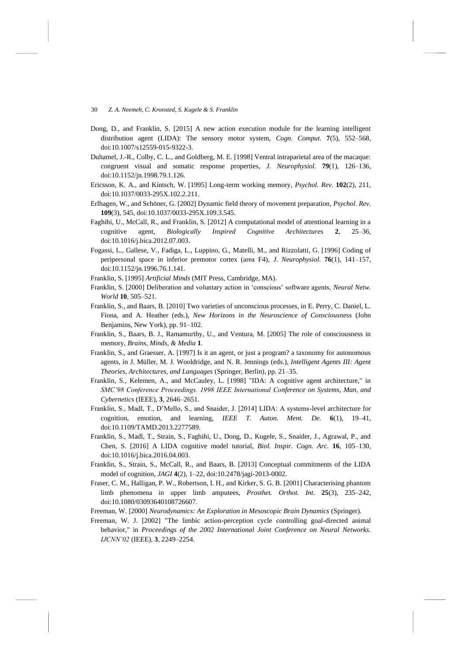- Dong, D., and Franklin, S. [2015] A new action execution module for the learning intelligent distribution agent (LIDA): The sensory motor system, *Cogn. Comput.* **7**(5), 552–568, doi:10.1007/s12559-015-9322-3.
- Duhamel, J.-R., Colby, C. L., and Goldberg, M. E. [1998] Ventral intraparietal area of the macaque: congruent visual and somatic response properties, *J. Neurophysiol.* **79**(1), 126–136, doi:10.1152/jn.1998.79.1.126.
- Ericsson, K. A., and Kintsch, W. [1995] Long-term working memory, *Psychol. Rev.* **102**(2), 211, doi:10.1037/0033-295X.102.2.211.
- Erlhagen, W., and Schöner, G. [2002] Dynamic field theory of movement preparation, *Psychol. Rev.* **109**(3), 545, doi:10.1037/0033-295X.109.3.545.
- Faghihi, U., McCall, R., and Franklin, S. [2012] A computational model of attentional learning in a cognitive agent, *Biologically Inspired Cognitive Architectures* **2**, 25–36, doi:10.1016/j.bica.2012.07.003.
- Fogassi, L., Gallese, V., Fadiga, L., Luppino, G., Matelli, M., and Rizzolatti, G. [1996] Coding of peripersonal space in inferior premotor cortex (area F4), *J. Neurophysiol.* **76**(1), 141–157, doi:10.1152/jn.1996.76.1.141.
- Franklin, S. [1995] *Artificial Minds* (MIT Press, Cambridge, MA).
- Franklin, S. [2000] Deliberation and voluntary action in 'conscious' software agents, *Neural Netw. World* **10**, 505–521.
- Franklin, S., and Baars, B. [2010] Two varieties of unconscious processes, in E. Perry, C. Daniel, L. Fiona, and A. Heather (eds.), *New Horizons in the Neuroscience of Consciousness* (John Benjamins, New York), pp. 91–102.
- Franklin, S., Baars, B. J., Ramamurthy, U., and Ventura, M. [2005] The role of consciousness in memory, *Brains, Minds, & Media* **1**.
- Franklin, S., and Graesser, A. [1997] Is it an agent, or just a program? a taxonomy for autonomous agents, in J. Müller, M. J. Wooldridge, and N. R. Jennings (eds.), *Intelligent Agents III: Agent Theories, Architectures, and Languages* (Springer, Berlin), pp. 21–35.
- Franklin, S., Kelemen, A., and McCauley, L. [1998] "IDA: A cognitive agent architecture," in *SMC'98 Conference Proceedings. 1998 IEEE International Conference on Systems, Man, and Cybernetics* (IEEE), **3**, 2646–2651.
- Franklin, S., Madl, T., D'Mello, S., and Snaider, J. [2014] LIDA: A systems-level architecture for cognition, emotion, and learning, *IEEE T. Auton. Ment. De.* **6**(1), 19–41, doi:10.1109/TAMD.2013.2277589.
- Franklin, S., Madl, T., Strain, S., Faghihi, U., Dong, D., Kugele, S., Snaider, J., Agrawal, P., and Chen, S. [2016] A LIDA cognitive model tutorial, *Biol. Inspir. Cogn. Arc.* **16**, 105–130, doi:10.1016/j.bica.2016.04.003.
- Franklin, S., Strain, S., McCall, R., and Baars, B. [2013] Conceptual commitments of the LIDA model of cognition, *JAGI* **4**(2), 1–22, doi:10.2478/jagi-2013-0002.
- Fraser, C. M., Halligan, P. W., Robertson, I. H., and Kirker, S. G. B. [2001] Characterising phantom limb phenomena in upper limb amputees, *Prosthet. Orthot. Int.* **25**(3), 235–242, doi:10.1080/03093640108726607.
- Freeman, W. [2000] *Neurodynamics: An Exploration in Mesoscopic Brain Dynamics* (Springer).
- Freeman, W. J. [2002] "The limbic action-perception cycle controlling goal-directed animal behavior," in *Proceedings of the 2002 International Joint Conference on Neural Networks. IJCNN'02* (IEEE), **3**, 2249–2254.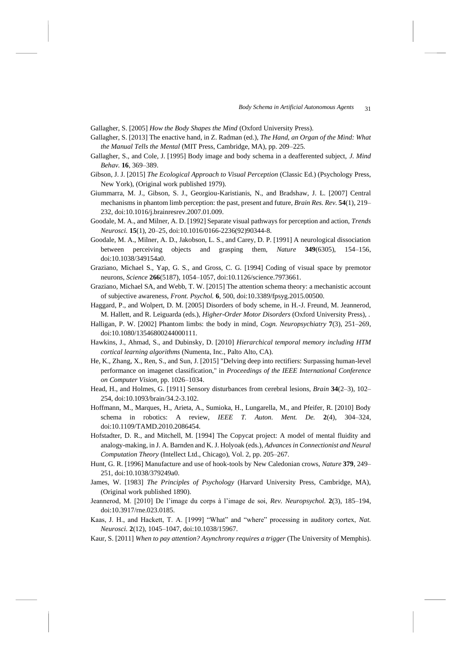Gallagher, S. [2005] *How the Body Shapes the Mind* (Oxford University Press).

- Gallagher, S. [2013] The enactive hand, in Z. Radman (ed.), *The Hand, an Organ of the Mind: What the Manual Tells the Mental* (MIT Press, Cambridge, MA), pp. 209–225.
- Gallagher, S., and Cole, J. [1995] Body image and body schema in a deafferented subject, *J. Mind Behav.* **16**, 369–389.
- Gibson, J. J. [2015] *The Ecological Approach to Visual Perception* (Classic Ed.) (Psychology Press, New York), (Original work published 1979).
- Giummarra, M. J., Gibson, S. J., Georgiou-Karistianis, N., and Bradshaw, J. L. [2007] Central mechanisms in phantom limb perception: the past, present and future, *Brain Res. Rev.* **54**(1), 219– 232, doi:10.1016/j.brainresrev.2007.01.009.
- Goodale, M. A., and Milner, A. D. [1992] Separate visual pathways for perception and action, *Trends Neurosci.* **15**(1), 20–25, doi:10.1016/0166-2236(92)90344-8.
- Goodale, M. A., Milner, A. D., Jakobson, L. S., and Carey, D. P. [1991] A neurological dissociation between perceiving objects and grasping them, *Nature* **349**(6305), 154–156, doi:10.1038/349154a0.
- Graziano, Michael S., Yap, G. S., and Gross, C. G. [1994] Coding of visual space by premotor neurons, *Science* **266**(5187), 1054–1057, doi:10.1126/science.7973661.
- Graziano, Michael SA, and Webb, T. W. [2015] The attention schema theory: a mechanistic account of subjective awareness, *Front. Psychol.* **6**, 500, doi:10.3389/fpsyg.2015.00500.
- Haggard, P., and Wolpert, D. M. [2005] Disorders of body scheme, in H.-J. Freund, M. Jeannerod, M. Hallett, and R. Leiguarda (eds.), *Higher-Order Motor Disorders* (Oxford University Press), .
- Halligan, P. W. [2002] Phantom limbs: the body in mind, *Cogn. Neuropsychiatry* **7**(3), 251–269, doi:10.1080/13546800244000111.
- Hawkins, J., Ahmad, S., and Dubinsky, D. [2010] *Hierarchical temporal memory including HTM cortical learning algorithms* (Numenta, Inc., Palto Alto, CA).
- He, K., Zhang, X., Ren, S., and Sun, J. [2015] "Delving deep into rectifiers: Surpassing human-level performance on imagenet classification," in *Proceedings of the IEEE International Conference on Computer Vision*, pp. 1026–1034.
- Head, H., and Holmes, G. [1911] Sensory disturbances from cerebral lesions, *Brain* **34**(2–3), 102– 254, doi:10.1093/brain/34.2-3.102.
- Hoffmann, M., Marques, H., Arieta, A., Sumioka, H., Lungarella, M., and Pfeifer, R. [2010] Body schema in robotics: A review, *IEEE T. Auton. Ment. De.* **2**(4), 304–324, doi:10.1109/TAMD.2010.2086454.
- Hofstadter, D. R., and Mitchell, M. [1994] The Copycat project: A model of mental fluidity and analogy-making, in J. A. Barnden and K. J. Holyoak (eds.), *Advances in Connectionist and Neural Computation Theory* (Intellect Ltd., Chicago), Vol. 2, pp. 205–267.
- Hunt, G. R. [1996] Manufacture and use of hook-tools by New Caledonian crows, *Nature* **379**, 249– 251, doi:10.1038/379249a0.
- James, W. [1983] *The Principles of Psychology* (Harvard University Press, Cambridge, MA), (Original work published 1890).
- Jeannerod, M. [2010] De l'image du corps à l'image de soi, *Rev. Neuropsychol.* **2**(3), 185–194, doi:10.3917/rne.023.0185.
- Kaas, J. H., and Hackett, T. A. [1999] "What" and "where" processing in auditory cortex, *Nat. Neurosci.* **2**(12), 1045–1047, doi:10.1038/15967.
- Kaur, S. [2011] *When to pay attention? Asynchrony requires a trigger* (The University of Memphis).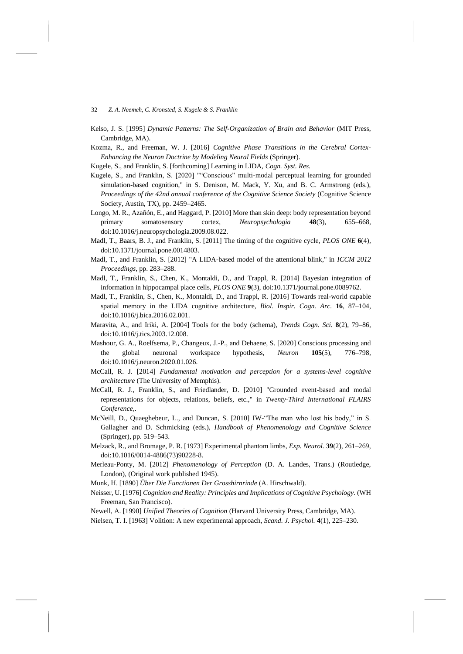- Kelso, J. S. [1995] *Dynamic Patterns: The Self-Organization of Brain and Behavior* (MIT Press, Cambridge, MA).
- Kozma, R., and Freeman, W. J. [2016] *Cognitive Phase Transitions in the Cerebral Cortex-Enhancing the Neuron Doctrine by Modeling Neural Fields* (Springer).

Kugele, S., and Franklin, S. [forthcoming] Learning in LIDA, *Cogn. Syst. Res.*

- Kugele, S., and Franklin, S. [2020] ""Conscious" multi-modal perceptual learning for grounded simulation-based cognition," in S. Denison, M. Mack, Y. Xu, and B. C. Armstrong (eds.), *Proceedings of the 42nd annual conference of the Cognitive Science Society* (Cognitive Science Society, Austin, TX), pp. 2459–2465.
- Longo, M. R., Azañón, E., and Haggard, P. [2010] More than skin deep: body representation beyond primary somatosensory cortex, *Neuropsychologia* **48**(3), 655–668, doi:10.1016/j.neuropsychologia.2009.08.022.
- Madl, T., Baars, B. J., and Franklin, S. [2011] The timing of the cognitive cycle, *PLOS ONE* **6**(4), doi:10.1371/journal.pone.0014803.
- Madl, T., and Franklin, S. [2012] "A LIDA-based model of the attentional blink," in *ICCM 2012 Proceedings*, pp. 283–288.
- Madl, T., Franklin, S., Chen, K., Montaldi, D., and Trappl, R. [2014] Bayesian integration of information in hippocampal place cells, *PLOS ONE* **9**(3), doi:10.1371/journal.pone.0089762.
- Madl, T., Franklin, S., Chen, K., Montaldi, D., and Trappl, R. [2016] Towards real-world capable spatial memory in the LIDA cognitive architecture, *Biol. Inspir. Cogn. Arc.* **16**, 87–104, doi:10.1016/j.bica.2016.02.001.
- Maravita, A., and Iriki, A. [2004] Tools for the body (schema), *Trends Cogn. Sci.* **8**(2), 79–86, doi:10.1016/j.tics.2003.12.008.
- Mashour, G. A., Roelfsema, P., Changeux, J.-P., and Dehaene, S. [2020] Conscious processing and the global neuronal workspace hypothesis, *Neuron* **105**(5), 776–798, doi:10.1016/j.neuron.2020.01.026.
- McCall, R. J. [2014] *Fundamental motivation and perception for a systems-level cognitive architecture* (The University of Memphis).
- McCall, R. J., Franklin, S., and Friedlander, D. [2010] "Grounded event-based and modal representations for objects, relations, beliefs, etc.," in *Twenty-Third International FLAIRS Conference*,.
- McNeill, D., Quaeghebeur, L., and Duncan, S. [2010] IW-"The man who lost his body," in S. Gallagher and D. Schmicking (eds.), *Handbook of Phenomenology and Cognitive Science* (Springer), pp. 519–543.
- Melzack, R., and Bromage, P. R. [1973] Experimental phantom limbs, *Exp. Neurol.* **39**(2), 261–269, doi:10.1016/0014-4886(73)90228-8.
- Merleau-Ponty, M. [2012] *Phenomenology of Perception* (D. A. Landes, Trans.) (Routledge, London), (Original work published 1945).

Munk, H. [1890] *Über Die Functionen Der Grosshirnrinde* (A. Hirschwald).

Neisser, U. [1976] *Cognition and Reality: Principles and Implications of Cognitive Psychology.* (WH Freeman, San Francisco).

Newell, A. [1990] *Unified Theories of Cognition* (Harvard University Press, Cambridge, MA).

Nielsen, T. I. [1963] Volition: A new experimental approach, *Scand. J. Psychol.* **4**(1), 225–230.